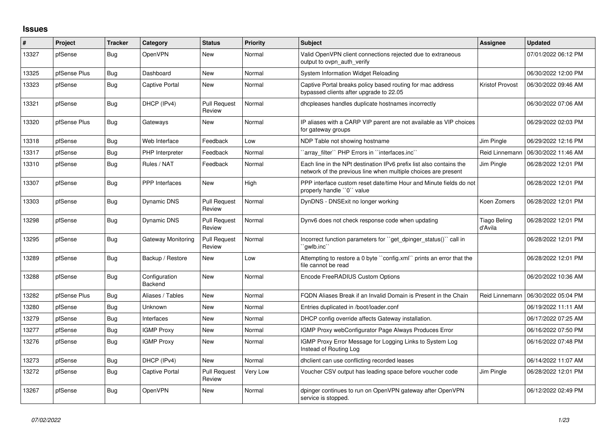## **Issues**

| $\#$  | Project      | <b>Tracker</b> | Category                 | <b>Status</b>                 | <b>Priority</b> | <b>Subject</b>                                                                                                                        | Assignee                       | <b>Updated</b>      |
|-------|--------------|----------------|--------------------------|-------------------------------|-----------------|---------------------------------------------------------------------------------------------------------------------------------------|--------------------------------|---------------------|
| 13327 | pfSense      | Bug            | OpenVPN                  | <b>New</b>                    | Normal          | Valid OpenVPN client connections rejected due to extraneous<br>output to ovpn_auth_verify                                             |                                | 07/01/2022 06:12 PM |
| 13325 | pfSense Plus | Bug            | Dashboard                | <b>New</b>                    | Normal          | System Information Widget Reloading                                                                                                   |                                | 06/30/2022 12:00 PM |
| 13323 | pfSense      | Bug            | <b>Captive Portal</b>    | <b>New</b>                    | Normal          | Captive Portal breaks policy based routing for mac address<br>bypassed clients after upgrade to 22.05                                 | Kristof Provost                | 06/30/2022 09:46 AM |
| 13321 | pfSense      | <b>Bug</b>     | DHCP (IPv4)              | <b>Pull Request</b><br>Review | Normal          | dhcpleases handles duplicate hostnames incorrectly                                                                                    |                                | 06/30/2022 07:06 AM |
| 13320 | pfSense Plus | Bug            | Gateways                 | <b>New</b>                    | Normal          | IP aliases with a CARP VIP parent are not available as VIP choices<br>for gateway groups                                              |                                | 06/29/2022 02:03 PM |
| 13318 | pfSense      | Bug            | Web Interface            | Feedback                      | Low             | NDP Table not showing hostname                                                                                                        | Jim Pingle                     | 06/29/2022 12:16 PM |
| 13317 | pfSense      | <b>Bug</b>     | PHP Interpreter          | Feedback                      | Normal          | array filter" PHP Errors in "interfaces.inc"                                                                                          | Reid Linnemann                 | 06/30/2022 11:46 AM |
| 13310 | pfSense      | Bug            | Rules / NAT              | Feedback                      | Normal          | Each line in the NPt destination IPv6 prefix list also contains the<br>network of the previous line when multiple choices are present | Jim Pingle                     | 06/28/2022 12:01 PM |
| 13307 | pfSense      | <b>Bug</b>     | <b>PPP</b> Interfaces    | <b>New</b>                    | High            | PPP interface custom reset date/time Hour and Minute fields do not<br>properly handle "0" value                                       |                                | 06/28/2022 12:01 PM |
| 13303 | pfSense      | <b>Bug</b>     | Dynamic DNS              | <b>Pull Request</b><br>Review | Normal          | DynDNS - DNSExit no longer working                                                                                                    | Koen Zomers                    | 06/28/2022 12:01 PM |
| 13298 | pfSense      | Bug            | <b>Dynamic DNS</b>       | <b>Pull Request</b><br>Review | Normal          | Dynv6 does not check response code when updating                                                                                      | <b>Tiago Beling</b><br>d'Avila | 06/28/2022 12:01 PM |
| 13295 | pfSense      | <b>Bug</b>     | Gateway Monitoring       | <b>Pull Request</b><br>Review | Normal          | Incorrect function parameters for "get dpinger status()" call in<br>qwlb.inc                                                          |                                | 06/28/2022 12:01 PM |
| 13289 | pfSense      | Bug            | Backup / Restore         | <b>New</b>                    | Low             | Attempting to restore a 0 byte "config.xml" prints an error that the<br>file cannot be read                                           |                                | 06/28/2022 12:01 PM |
| 13288 | pfSense      | Bug            | Configuration<br>Backend | <b>New</b>                    | Normal          | Encode FreeRADIUS Custom Options                                                                                                      |                                | 06/20/2022 10:36 AM |
| 13282 | pfSense Plus | Bug            | Aliases / Tables         | <b>New</b>                    | Normal          | FQDN Aliases Break if an Invalid Domain is Present in the Chain                                                                       | Reid Linnemann                 | 06/30/2022 05:04 PM |
| 13280 | pfSense      | <b>Bug</b>     | Unknown                  | <b>New</b>                    | Normal          | Entries duplicated in /boot/loader.conf                                                                                               |                                | 06/19/2022 11:11 AM |
| 13279 | pfSense      | <b>Bug</b>     | Interfaces               | New                           | Normal          | DHCP config override affects Gateway installation.                                                                                    |                                | 06/17/2022 07:25 AM |
| 13277 | pfSense      | <b>Bug</b>     | <b>IGMP Proxy</b>        | New                           | Normal          | IGMP Proxy webConfigurator Page Always Produces Error                                                                                 |                                | 06/16/2022 07:50 PM |
| 13276 | pfSense      | <b>Bug</b>     | <b>IGMP Proxy</b>        | <b>New</b>                    | Normal          | IGMP Proxy Error Message for Logging Links to System Log<br>Instead of Routing Log                                                    |                                | 06/16/2022 07:48 PM |
| 13273 | pfSense      | Bug            | DHCP (IPv4)              | New                           | Normal          | dhclient can use conflicting recorded leases                                                                                          |                                | 06/14/2022 11:07 AM |
| 13272 | pfSense      | Bug            | <b>Captive Portal</b>    | <b>Pull Request</b><br>Review | Very Low        | Voucher CSV output has leading space before voucher code                                                                              | Jim Pingle                     | 06/28/2022 12:01 PM |
| 13267 | pfSense      | <b>Bug</b>     | <b>OpenVPN</b>           | <b>New</b>                    | Normal          | dpinger continues to run on OpenVPN gateway after OpenVPN<br>service is stopped.                                                      |                                | 06/12/2022 02:49 PM |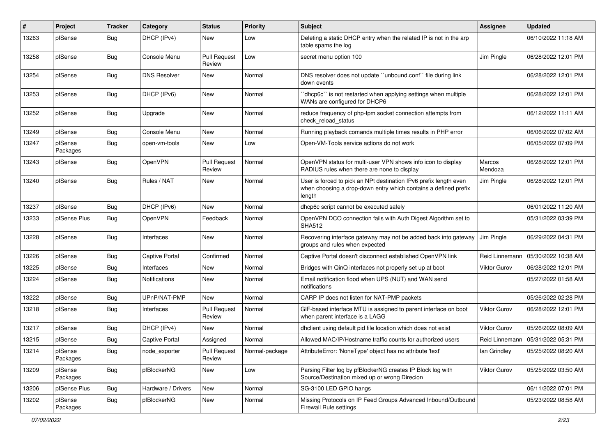| ∦     | Project             | <b>Tracker</b> | Category              | <b>Status</b>                 | <b>Priority</b> | <b>Subject</b>                                                                                                                                 | <b>Assignee</b>     | <b>Updated</b>      |
|-------|---------------------|----------------|-----------------------|-------------------------------|-----------------|------------------------------------------------------------------------------------------------------------------------------------------------|---------------------|---------------------|
| 13263 | pfSense             | Bug            | DHCP (IPv4)           | New                           | Low             | Deleting a static DHCP entry when the related IP is not in the arp<br>table spams the log                                                      |                     | 06/10/2022 11:18 AM |
| 13258 | pfSense             | Bug            | Console Menu          | <b>Pull Request</b><br>Review | Low             | secret menu option 100                                                                                                                         | Jim Pingle          | 06/28/2022 12:01 PM |
| 13254 | pfSense             | Bug            | <b>DNS Resolver</b>   | <b>New</b>                    | Normal          | DNS resolver does not update "unbound.conf" file during link<br>down events                                                                    |                     | 06/28/2022 12:01 PM |
| 13253 | pfSense             | Bug            | DHCP (IPv6)           | New                           | Normal          | 'dhcp6c' is not restarted when applying settings when multiple<br>WANs are configured for DHCP6                                                |                     | 06/28/2022 12:01 PM |
| 13252 | pfSense             | Bug            | Upgrade               | <b>New</b>                    | Normal          | reduce frequency of php-fpm socket connection attempts from<br>check_reload_status                                                             |                     | 06/12/2022 11:11 AM |
| 13249 | pfSense             | Bug            | Console Menu          | New                           | Normal          | Running playback comands multiple times results in PHP error                                                                                   |                     | 06/06/2022 07:02 AM |
| 13247 | pfSense<br>Packages | Bug            | open-vm-tools         | New                           | Low             | Open-VM-Tools service actions do not work                                                                                                      |                     | 06/05/2022 07:09 PM |
| 13243 | pfSense             | Bug            | OpenVPN               | <b>Pull Request</b><br>Review | Normal          | OpenVPN status for multi-user VPN shows info icon to display<br>RADIUS rules when there are none to display                                    | Marcos<br>Mendoza   | 06/28/2022 12:01 PM |
| 13240 | pfSense             | Bug            | Rules / NAT           | <b>New</b>                    | Normal          | User is forced to pick an NPt destination IPv6 prefix length even<br>when choosing a drop-down entry which contains a defined prefix<br>length | Jim Pingle          | 06/28/2022 12:01 PM |
| 13237 | pfSense             | Bug            | DHCP (IPv6)           | <b>New</b>                    | Normal          | dhcp6c script cannot be executed safely                                                                                                        |                     | 06/01/2022 11:20 AM |
| 13233 | pfSense Plus        | Bug            | <b>OpenVPN</b>        | Feedback                      | Normal          | OpenVPN DCO connection fails with Auth Digest Algorithm set to<br><b>SHA512</b>                                                                |                     | 05/31/2022 03:39 PM |
| 13228 | pfSense             | <b>Bug</b>     | Interfaces            | New                           | Normal          | Recovering interface gateway may not be added back into gateway<br>groups and rules when expected                                              | Jim Pingle          | 06/29/2022 04:31 PM |
| 13226 | pfSense             | Bug            | <b>Captive Portal</b> | Confirmed                     | Normal          | Captive Portal doesn't disconnect established OpenVPN link                                                                                     | Reid Linnemann      | 05/30/2022 10:38 AM |
| 13225 | pfSense             | Bug            | Interfaces            | New                           | Normal          | Bridges with QinQ interfaces not properly set up at boot                                                                                       | Viktor Gurov        | 06/28/2022 12:01 PM |
| 13224 | pfSense             | Bug            | <b>Notifications</b>  | New                           | Normal          | Email notification flood when UPS (NUT) and WAN send<br>notifications                                                                          |                     | 05/27/2022 01:58 AM |
| 13222 | pfSense             | Bug            | UPnP/NAT-PMP          | <b>New</b>                    | Normal          | CARP IP does not listen for NAT-PMP packets                                                                                                    |                     | 05/26/2022 02:28 PM |
| 13218 | pfSense             | Bug            | Interfaces            | <b>Pull Request</b><br>Review | Normal          | GIF-based interface MTU is assigned to parent interface on boot<br>when parent interface is a LAGG                                             | <b>Viktor Gurov</b> | 06/28/2022 12:01 PM |
| 13217 | pfSense             | Bug            | DHCP (IPv4)           | New                           | Normal          | dhclient using default pid file location which does not exist                                                                                  | <b>Viktor Gurov</b> | 05/26/2022 08:09 AM |
| 13215 | pfSense             | Bug            | Captive Portal        | Assigned                      | Normal          | Allowed MAC/IP/Hostname traffic counts for authorized users                                                                                    | Reid Linnemann      | 05/31/2022 05:31 PM |
| 13214 | pfSense<br>Packages | <b>Bug</b>     | node_exporter         | <b>Pull Request</b><br>Review | Normal-package  | AttributeError: 'NoneType' object has no attribute 'text'                                                                                      | lan Grindley        | 05/25/2022 08:20 AM |
| 13209 | pfSense<br>Packages | <b>Bug</b>     | pfBlockerNG           | New                           | Low             | Parsing Filter log by pfBlockerNG creates IP Block log with<br>Source/Destination mixed up or wrong Direcion                                   | Viktor Gurov        | 05/25/2022 03:50 AM |
| 13206 | pfSense Plus        | Bug            | Hardware / Drivers    | New                           | Normal          | SG-3100 LED GPIO hangs                                                                                                                         |                     | 06/11/2022 07:01 PM |
| 13202 | pfSense<br>Packages | <b>Bug</b>     | pfBlockerNG           | New                           | Normal          | Missing Protocols on IP Feed Groups Advanced Inbound/Outbound<br><b>Firewall Rule settings</b>                                                 |                     | 05/23/2022 08:58 AM |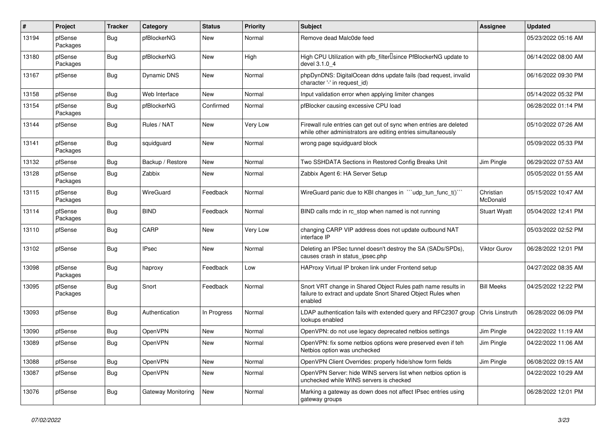| $\pmb{\#}$ | Project             | <b>Tracker</b> | Category           | <b>Status</b> | <b>Priority</b> | <b>Subject</b>                                                                                                                          | Assignee              | <b>Updated</b>      |
|------------|---------------------|----------------|--------------------|---------------|-----------------|-----------------------------------------------------------------------------------------------------------------------------------------|-----------------------|---------------------|
| 13194      | pfSense<br>Packages | <b>Bug</b>     | pfBlockerNG        | <b>New</b>    | Normal          | Remove dead Malc0de feed                                                                                                                |                       | 05/23/2022 05:16 AM |
| 13180      | pfSense<br>Packages | Bug            | pfBlockerNG        | New           | High            | High CPU Utilization with pfb_filter <sup>[]</sup> since PfBlockerNG update to<br>devel 3.1.0 4                                         |                       | 06/14/2022 08:00 AM |
| 13167      | pfSense             | Bug            | Dynamic DNS        | <b>New</b>    | Normal          | phpDynDNS: DigitalOcean ddns update fails (bad request, invalid<br>character '-' in request id)                                         |                       | 06/16/2022 09:30 PM |
| 13158      | pfSense             | Bug            | Web Interface      | New           | Normal          | Input validation error when applying limiter changes                                                                                    |                       | 05/14/2022 05:32 PM |
| 13154      | pfSense<br>Packages | <b>Bug</b>     | pfBlockerNG        | Confirmed     | Normal          | pfBlocker causing excessive CPU load                                                                                                    |                       | 06/28/2022 01:14 PM |
| 13144      | pfSense             | Bug            | Rules / NAT        | <b>New</b>    | Very Low        | Firewall rule entries can get out of sync when entries are deleted<br>while other administrators are editing entries simultaneously     |                       | 05/10/2022 07:26 AM |
| 13141      | pfSense<br>Packages | <b>Bug</b>     | squidguard         | <b>New</b>    | Normal          | wrong page squidguard block                                                                                                             |                       | 05/09/2022 05:33 PM |
| 13132      | pfSense             | <b>Bug</b>     | Backup / Restore   | New           | Normal          | Two SSHDATA Sections in Restored Config Breaks Unit                                                                                     | Jim Pingle            | 06/29/2022 07:53 AM |
| 13128      | pfSense<br>Packages | Bug            | Zabbix             | New           | Normal          | Zabbix Agent 6: HA Server Setup                                                                                                         |                       | 05/05/2022 01:55 AM |
| 13115      | pfSense<br>Packages | Bug            | WireGuard          | Feedback      | Normal          | WireGuard panic due to KBI changes in "'udp_tun_func_t()'"                                                                              | Christian<br>McDonald | 05/15/2022 10:47 AM |
| 13114      | pfSense<br>Packages | Bug            | <b>BIND</b>        | Feedback      | Normal          | BIND calls rndc in rc stop when named is not running                                                                                    | <b>Stuart Wyatt</b>   | 05/04/2022 12:41 PM |
| 13110      | pfSense             | <b>Bug</b>     | CARP               | <b>New</b>    | Very Low        | changing CARP VIP address does not update outbound NAT<br>interface IP                                                                  |                       | 05/03/2022 02:52 PM |
| 13102      | pfSense             | Bug            | <b>IPsec</b>       | <b>New</b>    | Normal          | Deleting an IPSec tunnel doesn't destroy the SA (SADs/SPDs),<br>causes crash in status_ipsec.php                                        | Viktor Gurov          | 06/28/2022 12:01 PM |
| 13098      | pfSense<br>Packages | Bug            | haproxy            | Feedback      | Low             | HAProxy Virtual IP broken link under Frontend setup                                                                                     |                       | 04/27/2022 08:35 AM |
| 13095      | pfSense<br>Packages | Bug            | Snort              | Feedback      | Normal          | Snort VRT change in Shared Object Rules path name results in<br>failure to extract and update Snort Shared Object Rules when<br>enabled | <b>Bill Meeks</b>     | 04/25/2022 12:22 PM |
| 13093      | pfSense             | <b>Bug</b>     | Authentication     | In Progress   | Normal          | LDAP authentication fails with extended query and RFC2307 group<br>lookups enabled                                                      | Chris Linstruth       | 06/28/2022 06:09 PM |
| 13090      | pfSense             | Bug            | <b>OpenVPN</b>     | <b>New</b>    | Normal          | OpenVPN: do not use legacy deprecated netbios settings                                                                                  | Jim Pingle            | 04/22/2022 11:19 AM |
| 13089      | pfSense             | Bug            | OpenVPN            | New           | Normal          | OpenVPN: fix some netbios options were preserved even if teh<br>Netbios option was unchecked                                            | Jim Pingle            | 04/22/2022 11:06 AM |
| 13088      | pfSense             | Bug            | <b>OpenVPN</b>     | <b>New</b>    | Normal          | OpenVPN Client Overrides: properly hide/show form fields                                                                                | Jim Pingle            | 06/08/2022 09:15 AM |
| 13087      | pfSense             | Bug            | OpenVPN            | New           | Normal          | OpenVPN Server: hide WINS servers list when netbios option is<br>unchecked while WINS servers is checked                                |                       | 04/22/2022 10:29 AM |
| 13076      | pfSense             | Bug            | Gateway Monitoring | <b>New</b>    | Normal          | Marking a gateway as down does not affect IPsec entries using<br>gateway groups                                                         |                       | 06/28/2022 12:01 PM |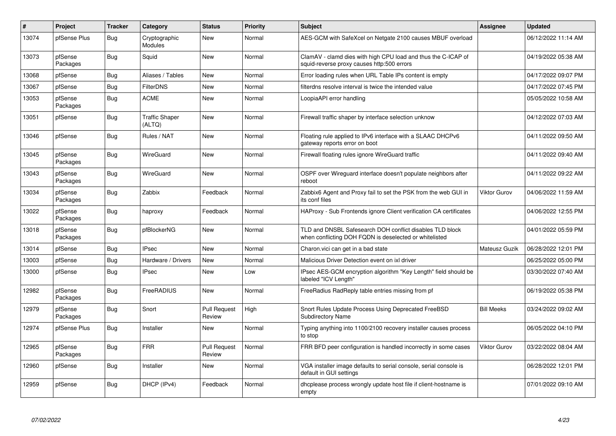| $\vert$ # | Project             | <b>Tracker</b> | Category                        | <b>Status</b>                 | <b>Priority</b> | <b>Subject</b>                                                                                                     | <b>Assignee</b>     | <b>Updated</b>      |
|-----------|---------------------|----------------|---------------------------------|-------------------------------|-----------------|--------------------------------------------------------------------------------------------------------------------|---------------------|---------------------|
| 13074     | pfSense Plus        | Bug            | Cryptographic<br>Modules        | <b>New</b>                    | Normal          | AES-GCM with SafeXcel on Netgate 2100 causes MBUF overload                                                         |                     | 06/12/2022 11:14 AM |
| 13073     | pfSense<br>Packages | <b>Bug</b>     | Squid                           | New                           | Normal          | ClamAV - clamd dies with high CPU load and thus the C-ICAP of<br>squid-reverse proxy causes http:500 errors        |                     | 04/19/2022 05:38 AM |
| 13068     | pfSense             | Bug            | Aliases / Tables                | New                           | Normal          | Error loading rules when URL Table IPs content is empty                                                            |                     | 04/17/2022 09:07 PM |
| 13067     | pfSense             | <b>Bug</b>     | <b>FilterDNS</b>                | <b>New</b>                    | Normal          | filterdns resolve interval is twice the intended value                                                             |                     | 04/17/2022 07:45 PM |
| 13053     | pfSense<br>Packages | Bug            | <b>ACME</b>                     | <b>New</b>                    | Normal          | LoopiaAPI error handling                                                                                           |                     | 05/05/2022 10:58 AM |
| 13051     | pfSense             | <b>Bug</b>     | <b>Traffic Shaper</b><br>(ALTQ) | <b>New</b>                    | Normal          | Firewall traffic shaper by interface selection unknow                                                              |                     | 04/12/2022 07:03 AM |
| 13046     | pfSense             | Bug            | Rules / NAT                     | <b>New</b>                    | Normal          | Floating rule applied to IPv6 interface with a SLAAC DHCPv6<br>gateway reports error on boot                       |                     | 04/11/2022 09:50 AM |
| 13045     | pfSense<br>Packages | <b>Bug</b>     | <b>WireGuard</b>                | New                           | Normal          | Firewall floating rules ignore WireGuard traffic                                                                   |                     | 04/11/2022 09:40 AM |
| 13043     | pfSense<br>Packages | Bug            | WireGuard                       | New                           | Normal          | OSPF over Wireguard interface doesn't populate neighbors after<br>reboot                                           |                     | 04/11/2022 09:22 AM |
| 13034     | pfSense<br>Packages | <b>Bug</b>     | Zabbix                          | Feedback                      | Normal          | Zabbix6 Agent and Proxy fail to set the PSK from the web GUI in<br>its conf files                                  | Viktor Gurov        | 04/06/2022 11:59 AM |
| 13022     | pfSense<br>Packages | <b>Bug</b>     | haproxy                         | Feedback                      | Normal          | HAProxy - Sub Frontends ignore Client verification CA certificates                                                 |                     | 04/06/2022 12:55 PM |
| 13018     | pfSense<br>Packages | <b>Bug</b>     | pfBlockerNG                     | <b>New</b>                    | Normal          | TLD and DNSBL Safesearch DOH conflict disables TLD block<br>when conflicting DOH FQDN is deselected or whitelisted |                     | 04/01/2022 05:59 PM |
| 13014     | pfSense             | Bug            | <b>IPsec</b>                    | <b>New</b>                    | Normal          | Charon.vici can get in a bad state                                                                                 | Mateusz Guzik       | 06/28/2022 12:01 PM |
| 13003     | pfSense             | <b>Bug</b>     | Hardware / Drivers              | New                           | Normal          | Malicious Driver Detection event on ixl driver                                                                     |                     | 06/25/2022 05:00 PM |
| 13000     | pfSense             | Bug            | <b>IPsec</b>                    | New                           | Low             | IPsec AES-GCM encryption algorithm "Key Length" field should be<br>labeled "ICV Length"                            |                     | 03/30/2022 07:40 AM |
| 12982     | pfSense<br>Packages | <b>Bug</b>     | FreeRADIUS                      | <b>New</b>                    | Normal          | FreeRadius RadReply table entries missing from pf                                                                  |                     | 06/19/2022 05:38 PM |
| 12979     | pfSense<br>Packages | <b>Bug</b>     | Snort                           | <b>Pull Request</b><br>Review | High            | Snort Rules Update Process Using Deprecated FreeBSD<br><b>Subdirectory Name</b>                                    | <b>Bill Meeks</b>   | 03/24/2022 09:02 AM |
| 12974     | pfSense Plus        | <b>Bug</b>     | Installer                       | <b>New</b>                    | Normal          | Typing anything into 1100/2100 recovery installer causes process<br>to stop                                        |                     | 06/05/2022 04:10 PM |
| 12965     | pfSense<br>Packages | Bug            | <b>FRR</b>                      | <b>Pull Request</b><br>Review | Normal          | FRR BFD peer configuration is handled incorrectly in some cases                                                    | <b>Viktor Gurov</b> | 03/22/2022 08:04 AM |
| 12960     | pfSense             | Bug            | Installer                       | <b>New</b>                    | Normal          | VGA installer image defaults to serial console, serial console is<br>default in GUI settings                       |                     | 06/28/2022 12:01 PM |
| 12959     | pfSense             | Bug            | DHCP (IPv4)                     | Feedback                      | Normal          | dhcplease process wrongly update host file if client-hostname is<br>empty                                          |                     | 07/01/2022 09:10 AM |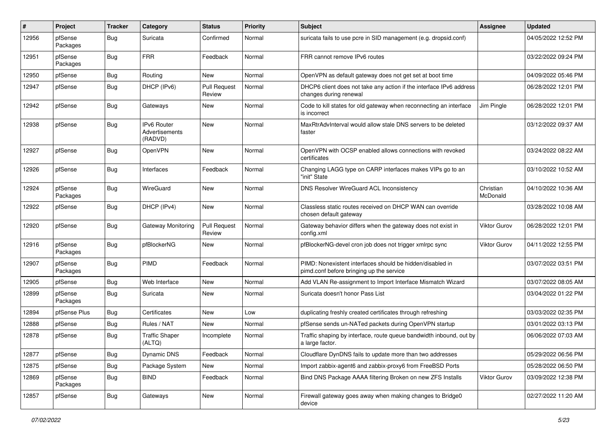| #     | Project             | <b>Tracker</b> | Category                                        | <b>Status</b>                 | <b>Priority</b> | <b>Subject</b>                                                                                        | <b>Assignee</b>       | <b>Updated</b>      |
|-------|---------------------|----------------|-------------------------------------------------|-------------------------------|-----------------|-------------------------------------------------------------------------------------------------------|-----------------------|---------------------|
| 12956 | pfSense<br>Packages | Bug            | Suricata                                        | Confirmed                     | Normal          | suricata fails to use pcre in SID management (e.g. dropsid.conf)                                      |                       | 04/05/2022 12:52 PM |
| 12951 | pfSense<br>Packages | Bug            | <b>FRR</b>                                      | Feedback                      | Normal          | FRR cannot remove IPv6 routes                                                                         |                       | 03/22/2022 09:24 PM |
| 12950 | pfSense             | Bug            | Routing                                         | <b>New</b>                    | Normal          | OpenVPN as default gateway does not get set at boot time                                              |                       | 04/09/2022 05:46 PM |
| 12947 | pfSense             | Bug            | DHCP (IPv6)                                     | <b>Pull Request</b><br>Review | Normal          | DHCP6 client does not take any action if the interface IPv6 address<br>changes during renewal         |                       | 06/28/2022 12:01 PM |
| 12942 | pfSense             | Bug            | Gateways                                        | New                           | Normal          | Code to kill states for old gateway when reconnecting an interface<br>is incorrect                    | Jim Pingle            | 06/28/2022 12:01 PM |
| 12938 | pfSense             | Bug            | <b>IPv6 Router</b><br>Advertisements<br>(RADVD) | <b>New</b>                    | Normal          | MaxRtrAdvInterval would allow stale DNS servers to be deleted<br>faster                               |                       | 03/12/2022 09:37 AM |
| 12927 | pfSense             | Bug            | OpenVPN                                         | <b>New</b>                    | Normal          | OpenVPN with OCSP enabled allows connections with revoked<br>certificates                             |                       | 03/24/2022 08:22 AM |
| 12926 | pfSense             | Bug            | Interfaces                                      | Feedback                      | Normal          | Changing LAGG type on CARP interfaces makes VIPs go to an<br>"init" State                             |                       | 03/10/2022 10:52 AM |
| 12924 | pfSense<br>Packages | Bug            | WireGuard                                       | <b>New</b>                    | Normal          | DNS Resolver WireGuard ACL Inconsistency                                                              | Christian<br>McDonald | 04/10/2022 10:36 AM |
| 12922 | pfSense             | Bug            | DHCP (IPv4)                                     | <b>New</b>                    | Normal          | Classless static routes received on DHCP WAN can override<br>chosen default gateway                   |                       | 03/28/2022 10:08 AM |
| 12920 | pfSense             | Bug            | Gateway Monitoring                              | <b>Pull Request</b><br>Review | Normal          | Gateway behavior differs when the gateway does not exist in<br>config.xml                             | Viktor Gurov          | 06/28/2022 12:01 PM |
| 12916 | pfSense<br>Packages | Bug            | pfBlockerNG                                     | <b>New</b>                    | Normal          | pfBlockerNG-devel cron job does not trigger xmlrpc sync                                               | Viktor Gurov          | 04/11/2022 12:55 PM |
| 12907 | pfSense<br>Packages | Bug            | <b>PIMD</b>                                     | Feedback                      | Normal          | PIMD: Nonexistent interfaces should be hidden/disabled in<br>pimd.conf before bringing up the service |                       | 03/07/2022 03:51 PM |
| 12905 | pfSense             | Bug            | Web Interface                                   | <b>New</b>                    | Normal          | Add VLAN Re-assignment to Import Interface Mismatch Wizard                                            |                       | 03/07/2022 08:05 AM |
| 12899 | pfSense<br>Packages | Bug            | Suricata                                        | New                           | Normal          | Suricata doesn't honor Pass List                                                                      |                       | 03/04/2022 01:22 PM |
| 12894 | pfSense Plus        | Bug            | Certificates                                    | <b>New</b>                    | Low             | duplicating freshly created certificates through refreshing                                           |                       | 03/03/2022 02:35 PM |
| 12888 | pfSense             | <b>Bug</b>     | Rules / NAT                                     | New                           | Normal          | pfSense sends un-NATed packets during OpenVPN startup                                                 |                       | 03/01/2022 03:13 PM |
| 12878 | pfSense             | <b>Bug</b>     | <b>Traffic Shaper</b><br>(ALTQ)                 | Incomplete                    | Normal          | Traffic shaping by interface, route queue bandwidth inbound, out by<br>a large factor.                |                       | 06/06/2022 07:03 AM |
| 12877 | pfSense             | <b>Bug</b>     | Dynamic DNS                                     | Feedback                      | Normal          | Cloudflare DynDNS fails to update more than two addresses                                             |                       | 05/29/2022 06:56 PM |
| 12875 | pfSense             | <b>Bug</b>     | Package System                                  | New                           | Normal          | Import zabbix-agent6 and zabbix-proxy6 from FreeBSD Ports                                             |                       | 05/28/2022 06:50 PM |
| 12869 | pfSense<br>Packages | <b>Bug</b>     | <b>BIND</b>                                     | Feedback                      | Normal          | Bind DNS Package AAAA filtering Broken on new ZFS Installs                                            | Viktor Gurov          | 03/09/2022 12:38 PM |
| 12857 | pfSense             | <b>Bug</b>     | Gateways                                        | New                           | Normal          | Firewall gateway goes away when making changes to Bridge0<br>device                                   |                       | 02/27/2022 11:20 AM |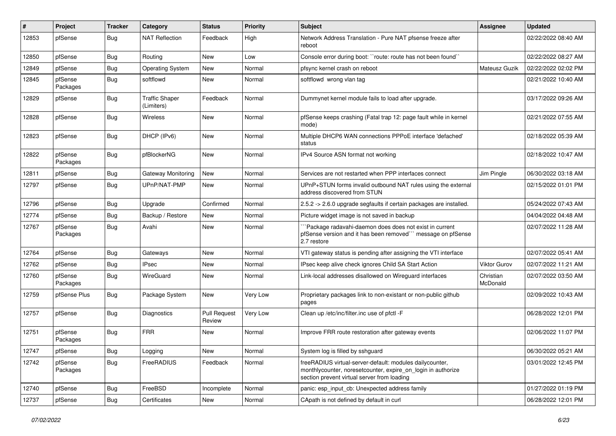| ∦     | Project             | <b>Tracker</b> | Category                            | <b>Status</b>                 | <b>Priority</b> | <b>Subject</b>                                                                                                                                                          | <b>Assignee</b>       | <b>Updated</b>      |
|-------|---------------------|----------------|-------------------------------------|-------------------------------|-----------------|-------------------------------------------------------------------------------------------------------------------------------------------------------------------------|-----------------------|---------------------|
| 12853 | pfSense             | Bug            | <b>NAT Reflection</b>               | Feedback                      | High            | Network Address Translation - Pure NAT pfsense freeze after<br>reboot                                                                                                   |                       | 02/22/2022 08:40 AM |
| 12850 | pfSense             | Bug            | Routing                             | <b>New</b>                    | Low             | Console error during boot: "route: route has not been found"                                                                                                            |                       | 02/22/2022 08:27 AM |
| 12849 | pfSense             | Bug            | <b>Operating System</b>             | New                           | Normal          | pfsync kernel crash on reboot                                                                                                                                           | Mateusz Guzik         | 02/22/2022 02:02 PM |
| 12845 | pfSense<br>Packages | <b>Bug</b>     | softflowd                           | <b>New</b>                    | Normal          | softflowd wrong vlan tag                                                                                                                                                |                       | 02/21/2022 10:40 AM |
| 12829 | pfSense             | Bug            | <b>Traffic Shaper</b><br>(Limiters) | Feedback                      | Normal          | Dummynet kernel module fails to load after upgrade.                                                                                                                     |                       | 03/17/2022 09:26 AM |
| 12828 | pfSense             | Bug            | Wireless                            | <b>New</b>                    | Normal          | pfSense keeps crashing (Fatal trap 12: page fault while in kernel<br>mode)                                                                                              |                       | 02/21/2022 07:55 AM |
| 12823 | pfSense             | Bug            | DHCP (IPv6)                         | New                           | Normal          | Multiple DHCP6 WAN connections PPPoE interface 'defached'<br>status                                                                                                     |                       | 02/18/2022 05:39 AM |
| 12822 | pfSense<br>Packages | Bug            | pfBlockerNG                         | <b>New</b>                    | Normal          | IPv4 Source ASN format not working                                                                                                                                      |                       | 02/18/2022 10:47 AM |
| 12811 | pfSense             | <b>Bug</b>     | Gateway Monitoring                  | <b>New</b>                    | Normal          | Services are not restarted when PPP interfaces connect                                                                                                                  | Jim Pingle            | 06/30/2022 03:18 AM |
| 12797 | pfSense             | Bug            | UPnP/NAT-PMP                        | New                           | Normal          | UPnP+STUN forms invalid outbound NAT rules using the external<br>address discovered from STUN                                                                           |                       | 02/15/2022 01:01 PM |
| 12796 | pfSense             | Bug            | Upgrade                             | Confirmed                     | Normal          | 2.5.2 -> 2.6.0 upgrade segfaults if certain packages are installed.                                                                                                     |                       | 05/24/2022 07:43 AM |
| 12774 | pfSense             | Bug            | Backup / Restore                    | New                           | Normal          | Picture widget image is not saved in backup                                                                                                                             |                       | 04/04/2022 04:48 AM |
| 12767 | pfSense<br>Packages | Bug            | Avahi                               | New                           | Normal          | `Package radavahi-daemon does does not exist in current<br>pfSense version and it has been removed" message on pfSense<br>2.7 restore                                   |                       | 02/07/2022 11:28 AM |
| 12764 | pfSense             | Bug            | Gateways                            | <b>New</b>                    | Normal          | VTI gateway status is pending after assigning the VTI interface                                                                                                         |                       | 02/07/2022 05:41 AM |
| 12762 | pfSense             | Bug            | <b>IPsec</b>                        | New                           | Normal          | IPsec keep alive check ignores Child SA Start Action                                                                                                                    | Viktor Gurov          | 02/07/2022 11:21 AM |
| 12760 | pfSense<br>Packages | Bug            | WireGuard                           | New                           | Normal          | Link-local addresses disallowed on Wireguard interfaces                                                                                                                 | Christian<br>McDonald | 02/07/2022 03:50 AM |
| 12759 | pfSense Plus        | Bug            | Package System                      | <b>New</b>                    | Very Low        | Proprietary packages link to non-existant or non-public github<br>pages                                                                                                 |                       | 02/09/2022 10:43 AM |
| 12757 | pfSense             | Bug            | Diagnostics                         | <b>Pull Request</b><br>Review | Very Low        | Clean up /etc/inc/filter.inc use of pfctl -F                                                                                                                            |                       | 06/28/2022 12:01 PM |
| 12751 | pfSense<br>Packages | Bug            | <b>FRR</b>                          | New                           | Normal          | Improve FRR route restoration after gateway events                                                                                                                      |                       | 02/06/2022 11:07 PM |
| 12747 | pfSense             | <b>Bug</b>     | Logging                             | New                           | Normal          | System log is filled by sshguard                                                                                                                                        |                       | 06/30/2022 05:21 AM |
| 12742 | pfSense<br>Packages | Bug            | FreeRADIUS                          | Feedback                      | Normal          | freeRADIUS virtual-server-default: modules dailycounter,<br>monthlycounter, noresetcounter, expire_on_login in authorize<br>section prevent virtual server from loading |                       | 03/01/2022 12:45 PM |
| 12740 | pfSense             | Bug            | FreeBSD                             | Incomplete                    | Normal          | panic: esp_input_cb: Unexpected address family                                                                                                                          |                       | 01/27/2022 01:19 PM |
| 12737 | pfSense             | Bug            | Certificates                        | New                           | Normal          | CApath is not defined by default in curl                                                                                                                                |                       | 06/28/2022 12:01 PM |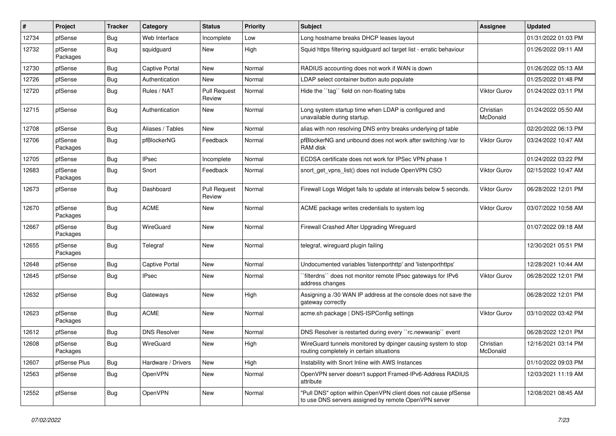| ∦     | Project             | <b>Tracker</b> | Category              | <b>Status</b>                 | <b>Priority</b> | <b>Subject</b>                                                                                                         | <b>Assignee</b>       | <b>Updated</b>      |
|-------|---------------------|----------------|-----------------------|-------------------------------|-----------------|------------------------------------------------------------------------------------------------------------------------|-----------------------|---------------------|
| 12734 | pfSense             | Bug            | Web Interface         | Incomplete                    | Low             | Long hostname breaks DHCP leases layout                                                                                |                       | 01/31/2022 01:03 PM |
| 12732 | pfSense<br>Packages | Bug            | squidguard            | New                           | High            | Squid https filtering squidguard acl target list - erratic behaviour                                                   |                       | 01/26/2022 09:11 AM |
| 12730 | pfSense             | <b>Bug</b>     | <b>Captive Portal</b> | <b>New</b>                    | Normal          | RADIUS accounting does not work if WAN is down                                                                         |                       | 01/26/2022 05:13 AM |
| 12726 | pfSense             | <b>Bug</b>     | Authentication        | New                           | Normal          | LDAP select container button auto populate                                                                             |                       | 01/25/2022 01:48 PM |
| 12720 | pfSense             | Bug            | Rules / NAT           | <b>Pull Request</b><br>Review | Normal          | Hide the "tag" field on non-floating tabs                                                                              | Viktor Gurov          | 01/24/2022 03:11 PM |
| 12715 | pfSense             | Bug            | Authentication        | New                           | Normal          | Long system startup time when LDAP is configured and<br>unavailable during startup.                                    | Christian<br>McDonald | 01/24/2022 05:50 AM |
| 12708 | pfSense             | Bug            | Aliases / Tables      | <b>New</b>                    | Normal          | alias with non resolving DNS entry breaks underlying pf table                                                          |                       | 02/20/2022 06:13 PM |
| 12706 | pfSense<br>Packages | Bug            | pfBlockerNG           | Feedback                      | Normal          | pfBlockerNG and unbound does not work after switching /var to<br>RAM disk                                              | <b>Viktor Gurov</b>   | 03/24/2022 10:47 AM |
| 12705 | pfSense             | Bug            | <b>IPsec</b>          | Incomplete                    | Normal          | ECDSA certificate does not work for IPSec VPN phase 1                                                                  |                       | 01/24/2022 03:22 PM |
| 12683 | pfSense<br>Packages | Bug            | Snort                 | Feedback                      | Normal          | snort get vpns list() does not include OpenVPN CSO                                                                     | <b>Viktor Gurov</b>   | 02/15/2022 10:47 AM |
| 12673 | pfSense             | Bug            | Dashboard             | <b>Pull Request</b><br>Review | Normal          | Firewall Logs Widget fails to update at intervals below 5 seconds.                                                     | Viktor Gurov          | 06/28/2022 12:01 PM |
| 12670 | pfSense<br>Packages | Bug            | <b>ACME</b>           | New                           | Normal          | ACME package writes credentials to system log                                                                          | Viktor Gurov          | 03/07/2022 10:58 AM |
| 12667 | pfSense<br>Packages | Bug            | WireGuard             | <b>New</b>                    | Normal          | Firewall Crashed After Upgrading Wireguard                                                                             |                       | 01/07/2022 09:18 AM |
| 12655 | pfSense<br>Packages | Bug            | Telegraf              | New                           | Normal          | telegraf, wireguard plugin failing                                                                                     |                       | 12/30/2021 05:51 PM |
| 12648 | pfSense             | Bug            | <b>Captive Portal</b> | <b>New</b>                    | Normal          | Undocumented variables 'listenporthttp' and 'listenporthttps'                                                          |                       | 12/28/2021 10:44 AM |
| 12645 | pfSense             | Bug            | <b>IPsec</b>          | New                           | Normal          | filterdns" does not monitor remote IPsec gateways for IPv6<br>address changes                                          | <b>Viktor Gurov</b>   | 06/28/2022 12:01 PM |
| 12632 | pfSense             | Bug            | Gateways              | <b>New</b>                    | High            | Assigning a /30 WAN IP address at the console does not save the<br>gateway correctly                                   |                       | 06/28/2022 12:01 PM |
| 12623 | pfSense<br>Packages | Bug            | <b>ACME</b>           | New                           | Normal          | acme.sh package   DNS-ISPConfig settings                                                                               | Viktor Gurov          | 03/10/2022 03:42 PM |
| 12612 | pfSense             | Bug            | <b>DNS Resolver</b>   | New                           | Normal          | DNS Resolver is restarted during every "rc.newwanip" event                                                             |                       | 06/28/2022 12:01 PM |
| 12608 | pfSense<br>Packages | <b>Bug</b>     | WireGuard             | New                           | High            | WireGuard tunnels monitored by dpinger causing system to stop<br>routing completely in certain situations              | Christian<br>McDonald | 12/16/2021 03:14 PM |
| 12607 | pfSense Plus        | <b>Bug</b>     | Hardware / Drivers    | New                           | High            | Instability with Snort Inline with AWS Instances                                                                       |                       | 01/10/2022 09:03 PM |
| 12563 | pfSense             | Bug            | OpenVPN               | New                           | Normal          | OpenVPN server doesn't support Framed-IPv6-Address RADIUS<br>attribute                                                 |                       | 12/03/2021 11:19 AM |
| 12552 | pfSense             | Bug            | OpenVPN               | New                           | Normal          | "Pull DNS" option within OpenVPN client does not cause pfSense<br>to use DNS servers assigned by remote OpenVPN server |                       | 12/08/2021 08:45 AM |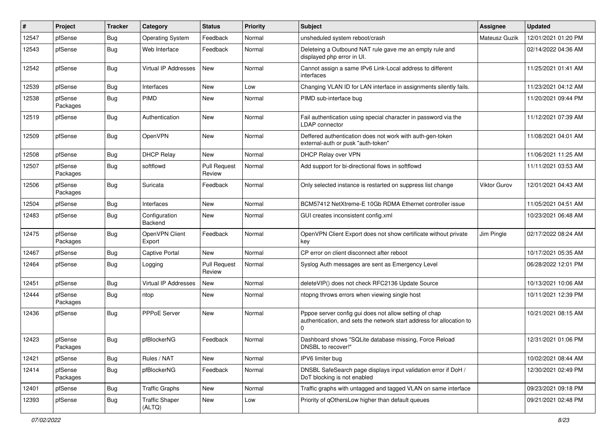| #     | Project             | <b>Tracker</b> | Category                        | <b>Status</b>                 | <b>Priority</b> | Subject                                                                                                                                    | <b>Assignee</b> | <b>Updated</b>      |
|-------|---------------------|----------------|---------------------------------|-------------------------------|-----------------|--------------------------------------------------------------------------------------------------------------------------------------------|-----------------|---------------------|
| 12547 | pfSense             | <b>Bug</b>     | <b>Operating System</b>         | Feedback                      | Normal          | unsheduled system reboot/crash                                                                                                             | Mateusz Guzik   | 12/01/2021 01:20 PM |
| 12543 | pfSense             | Bug            | Web Interface                   | Feedback                      | Normal          | Deleteing a Outbound NAT rule gave me an empty rule and<br>displayed php error in UI.                                                      |                 | 02/14/2022 04:36 AM |
| 12542 | pfSense             | Bug            | Virtual IP Addresses            | <b>New</b>                    | Normal          | Cannot assign a same IPv6 Link-Local address to different<br>interfaces                                                                    |                 | 11/25/2021 01:41 AM |
| 12539 | pfSense             | Bug            | Interfaces                      | New                           | Low             | Changing VLAN ID for LAN interface in assignments silently fails.                                                                          |                 | 11/23/2021 04:12 AM |
| 12538 | pfSense<br>Packages | <b>Bug</b>     | <b>PIMD</b>                     | New                           | Normal          | PIMD sub-interface bug                                                                                                                     |                 | 11/20/2021 09:44 PM |
| 12519 | pfSense             | Bug            | Authentication                  | <b>New</b>                    | Normal          | Fail authentication using special character in password via the<br><b>LDAP</b> connector                                                   |                 | 11/12/2021 07:39 AM |
| 12509 | pfSense             | Bug            | <b>OpenVPN</b>                  | <b>New</b>                    | Normal          | Deffered authentication does not work with auth-gen-token<br>external-auth or pusk "auth-token"                                            |                 | 11/08/2021 04:01 AM |
| 12508 | pfSense             | Bug            | <b>DHCP Relay</b>               | <b>New</b>                    | Normal          | DHCP Relay over VPN                                                                                                                        |                 | 11/06/2021 11:25 AM |
| 12507 | pfSense<br>Packages | Bug            | softflowd                       | <b>Pull Request</b><br>Review | Normal          | Add support for bi-directional flows in softflowd                                                                                          |                 | 11/11/2021 03:53 AM |
| 12506 | pfSense<br>Packages | Bug            | Suricata                        | Feedback                      | Normal          | Only selected instance is restarted on suppress list change                                                                                | Viktor Gurov    | 12/01/2021 04:43 AM |
| 12504 | pfSense             | <b>Bug</b>     | Interfaces                      | New                           | Normal          | BCM57412 NetXtreme-E 10Gb RDMA Ethernet controller issue                                                                                   |                 | 11/05/2021 04:51 AM |
| 12483 | pfSense             | Bug            | Configuration<br>Backend        | <b>New</b>                    | Normal          | GUI creates inconsistent config.xml                                                                                                        |                 | 10/23/2021 06:48 AM |
| 12475 | pfSense<br>Packages | Bug            | OpenVPN Client<br>Export        | Feedback                      | Normal          | OpenVPN Client Export does not show certificate without private<br>kev                                                                     | Jim Pingle      | 02/17/2022 08:24 AM |
| 12467 | pfSense             | Bug            | Captive Portal                  | New                           | Normal          | CP error on client disconnect after reboot                                                                                                 |                 | 10/17/2021 05:35 AM |
| 12464 | pfSense             | Bug            | Logging                         | <b>Pull Request</b><br>Review | Normal          | Syslog Auth messages are sent as Emergency Level                                                                                           |                 | 06/28/2022 12:01 PM |
| 12451 | pfSense             | <b>Bug</b>     | Virtual IP Addresses            | <b>New</b>                    | Normal          | deleteVIP() does not check RFC2136 Update Source                                                                                           |                 | 10/13/2021 10:06 AM |
| 12444 | pfSense<br>Packages | Bug            | ntop                            | New                           | Normal          | ntopng throws errors when viewing single host                                                                                              |                 | 10/11/2021 12:39 PM |
| 12436 | pfSense             | Bug            | PPPoE Server                    | New                           | Normal          | Pppoe server config gui does not allow setting of chap<br>authentication, and sets the network start address for allocation to<br>$\Omega$ |                 | 10/21/2021 08:15 AM |
| 12423 | pfSense<br>Packages | Bug            | pfBlockerNG                     | Feedback                      | Normal          | Dashboard shows "SQLite database missing, Force Reload<br>DNSBL to recover!"                                                               |                 | 12/31/2021 01:06 PM |
| 12421 | pfSense             | <b>Bug</b>     | Rules / NAT                     | New                           | Normal          | IPV6 limiter bug                                                                                                                           |                 | 10/02/2021 08:44 AM |
| 12414 | pfSense<br>Packages | Bug            | pfBlockerNG                     | Feedback                      | Normal          | DNSBL SafeSearch page displays input validation error if DoH /<br>DoT blocking is not enabled                                              |                 | 12/30/2021 02:49 PM |
| 12401 | pfSense             | <b>Bug</b>     | <b>Traffic Graphs</b>           | New                           | Normal          | Traffic graphs with untagged and tagged VLAN on same interface                                                                             |                 | 09/23/2021 09:18 PM |
| 12393 | pfSense             | <b>Bug</b>     | <b>Traffic Shaper</b><br>(ALTQ) | New                           | Low             | Priority of qOthersLow higher than default queues                                                                                          |                 | 09/21/2021 02:48 PM |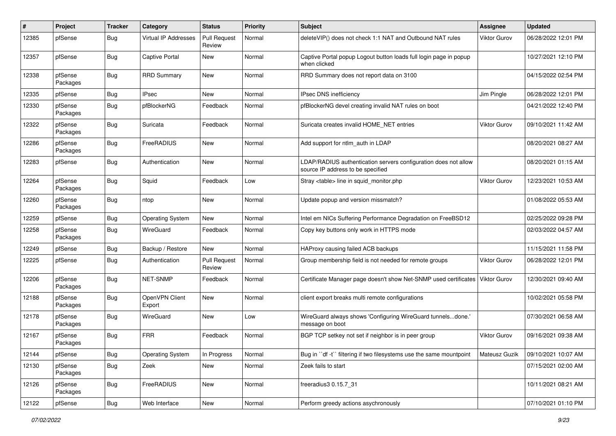| #     | Project             | <b>Tracker</b> | Category                 | <b>Status</b>                 | <b>Priority</b> | Subject                                                                                              | <b>Assignee</b>     | <b>Updated</b>      |
|-------|---------------------|----------------|--------------------------|-------------------------------|-----------------|------------------------------------------------------------------------------------------------------|---------------------|---------------------|
| 12385 | pfSense             | <b>Bug</b>     | Virtual IP Addresses     | <b>Pull Request</b><br>Review | Normal          | deleteVIP() does not check 1:1 NAT and Outbound NAT rules                                            | <b>Viktor Gurov</b> | 06/28/2022 12:01 PM |
| 12357 | pfSense             | Bug            | <b>Captive Portal</b>    | New                           | Normal          | Captive Portal popup Logout button loads full login page in popup<br>when clicked                    |                     | 10/27/2021 12:10 PM |
| 12338 | pfSense<br>Packages | Bug            | <b>RRD Summary</b>       | New                           | Normal          | RRD Summary does not report data on 3100                                                             |                     | 04/15/2022 02:54 PM |
| 12335 | pfSense             | <b>Bug</b>     | <b>IPsec</b>             | <b>New</b>                    | Normal          | IPsec DNS inefficiency                                                                               | Jim Pingle          | 06/28/2022 12:01 PM |
| 12330 | pfSense<br>Packages | Bug            | pfBlockerNG              | Feedback                      | Normal          | pfBlockerNG devel creating invalid NAT rules on boot                                                 |                     | 04/21/2022 12:40 PM |
| 12322 | pfSense<br>Packages | Bug            | Suricata                 | Feedback                      | Normal          | Suricata creates invalid HOME NET entries                                                            | Viktor Gurov        | 09/10/2021 11:42 AM |
| 12286 | pfSense<br>Packages | Bug            | FreeRADIUS               | New                           | Normal          | Add support for ntlm_auth in LDAP                                                                    |                     | 08/20/2021 08:27 AM |
| 12283 | pfSense             | Bug            | Authentication           | New                           | Normal          | LDAP/RADIUS authentication servers configuration does not allow<br>source IP address to be specified |                     | 08/20/2021 01:15 AM |
| 12264 | pfSense<br>Packages | Bug            | Squid                    | Feedback                      | Low             | Stray <table> line in squid monitor.php</table>                                                      | Viktor Gurov        | 12/23/2021 10:53 AM |
| 12260 | pfSense<br>Packages | Bug            | ntop                     | <b>New</b>                    | Normal          | Update popup and version missmatch?                                                                  |                     | 01/08/2022 05:53 AM |
| 12259 | pfSense             | Bug            | <b>Operating System</b>  | New                           | Normal          | Intel em NICs Suffering Performance Degradation on FreeBSD12                                         |                     | 02/25/2022 09:28 PM |
| 12258 | pfSense<br>Packages | Bug            | <b>WireGuard</b>         | Feedback                      | Normal          | Copy key buttons only work in HTTPS mode                                                             |                     | 02/03/2022 04:57 AM |
| 12249 | pfSense             | <b>Bug</b>     | Backup / Restore         | New                           | Normal          | HAProxy causing failed ACB backups                                                                   |                     | 11/15/2021 11:58 PM |
| 12225 | pfSense             | Bug            | Authentication           | <b>Pull Request</b><br>Review | Normal          | Group membership field is not needed for remote groups                                               | Viktor Gurov        | 06/28/2022 12:01 PM |
| 12206 | pfSense<br>Packages | <b>Bug</b>     | NET-SNMP                 | Feedback                      | Normal          | Certificate Manager page doesn't show Net-SNMP used certificates                                     | <b>Viktor Gurov</b> | 12/30/2021 09:40 AM |
| 12188 | pfSense<br>Packages | Bug            | OpenVPN Client<br>Export | New                           | Normal          | client export breaks multi remote configurations                                                     |                     | 10/02/2021 05:58 PM |
| 12178 | pfSense<br>Packages | Bug            | WireGuard                | New                           | Low             | WireGuard always shows 'Configuring WireGuard tunnelsdone.'<br>message on boot                       |                     | 07/30/2021 06:58 AM |
| 12167 | pfSense<br>Packages | Bug            | <b>FRR</b>               | Feedback                      | Normal          | BGP TCP setkey not set if neighbor is in peer group                                                  | Viktor Gurov        | 09/16/2021 09:38 AM |
| 12144 | pfSense             | <b>Bug</b>     | <b>Operating System</b>  | In Progress                   | Normal          | Bug in "df -t" filtering if two filesystems use the same mountpoint                                  | Mateusz Guzik       | 09/10/2021 10:07 AM |
| 12130 | pfSense<br>Packages | Bug            | Zeek                     | New                           | Normal          | Zeek fails to start                                                                                  |                     | 07/15/2021 02:00 AM |
| 12126 | pfSense<br>Packages | <b>Bug</b>     | FreeRADIUS               | New                           | Normal          | freeradius3 0.15.7 31                                                                                |                     | 10/11/2021 08:21 AM |
| 12122 | pfSense             | <b>Bug</b>     | Web Interface            | New                           | Normal          | Perform greedy actions asychronously                                                                 |                     | 07/10/2021 01:10 PM |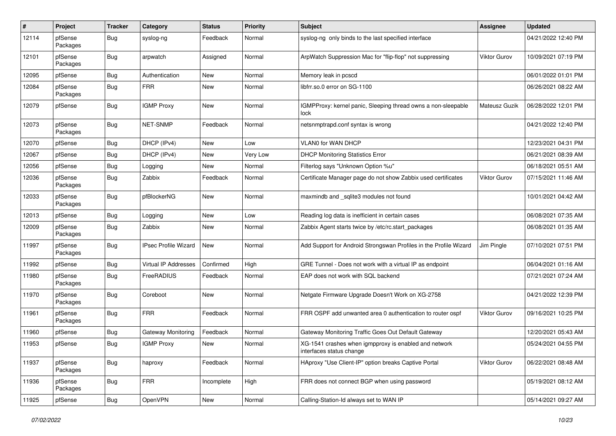| #     | Project             | <b>Tracker</b> | Category                    | <b>Status</b> | <b>Priority</b> | <b>Subject</b>                                                                    | <b>Assignee</b> | <b>Updated</b>      |
|-------|---------------------|----------------|-----------------------------|---------------|-----------------|-----------------------------------------------------------------------------------|-----------------|---------------------|
| 12114 | pfSense<br>Packages | <b>Bug</b>     | syslog-ng                   | Feedback      | Normal          | syslog-ng only binds to the last specified interface                              |                 | 04/21/2022 12:40 PM |
| 12101 | pfSense<br>Packages | <b>Bug</b>     | arpwatch                    | Assigned      | Normal          | ArpWatch Suppression Mac for "flip-flop" not suppressing                          | Viktor Gurov    | 10/09/2021 07:19 PM |
| 12095 | pfSense             | <b>Bug</b>     | Authentication              | <b>New</b>    | Normal          | Memory leak in pcscd                                                              |                 | 06/01/2022 01:01 PM |
| 12084 | pfSense<br>Packages | Bug            | <b>FRR</b>                  | New           | Normal          | libfrr.so.0 error on SG-1100                                                      |                 | 06/26/2021 08:22 AM |
| 12079 | pfSense             | Bug            | <b>IGMP Proxy</b>           | <b>New</b>    | Normal          | IGMPProxy: kernel panic, Sleeping thread owns a non-sleepable<br>lock             | Mateusz Guzik   | 06/28/2022 12:01 PM |
| 12073 | pfSense<br>Packages | Bug            | NET-SNMP                    | Feedback      | Normal          | netsnmptrapd.conf syntax is wrong                                                 |                 | 04/21/2022 12:40 PM |
| 12070 | pfSense             | <b>Bug</b>     | DHCP (IPv4)                 | New           | Low             | <b>VLAN0 for WAN DHCP</b>                                                         |                 | 12/23/2021 04:31 PM |
| 12067 | pfSense             | <b>Bug</b>     | DHCP (IPv4)                 | <b>New</b>    | Very Low        | <b>DHCP Monitoring Statistics Error</b>                                           |                 | 06/21/2021 08:39 AM |
| 12056 | pfSense             | <b>Bug</b>     | Logging                     | New           | Normal          | Filterlog says "Unknown Option %u"                                                |                 | 06/18/2021 05:51 AM |
| 12036 | pfSense<br>Packages | <b>Bug</b>     | Zabbix                      | Feedback      | Normal          | Certificate Manager page do not show Zabbix used certificates                     | Viktor Gurov    | 07/15/2021 11:46 AM |
| 12033 | pfSense<br>Packages | Bug            | pfBlockerNG                 | New           | Normal          | maxmindb and _sqlite3 modules not found                                           |                 | 10/01/2021 04:42 AM |
| 12013 | pfSense             | Bug            | Logging                     | New           | Low             | Reading log data is inefficient in certain cases                                  |                 | 06/08/2021 07:35 AM |
| 12009 | pfSense<br>Packages | <b>Bug</b>     | Zabbix                      | New           | Normal          | Zabbix Agent starts twice by /etc/rc.start_packages                               |                 | 06/08/2021 01:35 AM |
| 11997 | pfSense<br>Packages | Bug            | <b>IPsec Profile Wizard</b> | <b>New</b>    | Normal          | Add Support for Android Strongswan Profiles in the Profile Wizard                 | Jim Pingle      | 07/10/2021 07:51 PM |
| 11992 | pfSense             | <b>Bug</b>     | Virtual IP Addresses        | Confirmed     | High            | GRE Tunnel - Does not work with a virtual IP as endpoint                          |                 | 06/04/2021 01:16 AM |
| 11980 | pfSense<br>Packages | Bug            | FreeRADIUS                  | Feedback      | Normal          | EAP does not work with SQL backend                                                |                 | 07/21/2021 07:24 AM |
| 11970 | pfSense<br>Packages | <b>Bug</b>     | Coreboot                    | <b>New</b>    | Normal          | Netgate Firmware Upgrade Doesn't Work on XG-2758                                  |                 | 04/21/2022 12:39 PM |
| 11961 | pfSense<br>Packages | <b>Bug</b>     | <b>FRR</b>                  | Feedback      | Normal          | FRR OSPF add unwanted area 0 authentication to router ospf                        | Viktor Gurov    | 09/16/2021 10:25 PM |
| 11960 | pfSense             | <b>Bug</b>     | Gateway Monitoring          | Feedback      | Normal          | Gateway Monitoring Traffic Goes Out Default Gateway                               |                 | 12/20/2021 05:43 AM |
| 11953 | pfSense             | <b>Bug</b>     | <b>IGMP Proxy</b>           | <b>New</b>    | Normal          | XG-1541 crashes when igmpproxy is enabled and network<br>interfaces status change |                 | 05/24/2021 04:55 PM |
| 11937 | pfSense<br>Packages | <b>Bug</b>     | haproxy                     | Feedback      | Normal          | HAproxy "Use Client-IP" option breaks Captive Portal                              | Viktor Gurov    | 06/22/2021 08:48 AM |
| 11936 | pfSense<br>Packages | <b>Bug</b>     | <b>FRR</b>                  | Incomplete    | High            | FRR does not connect BGP when using password                                      |                 | 05/19/2021 08:12 AM |
| 11925 | pfSense             | <b>Bug</b>     | <b>OpenVPN</b>              | New           | Normal          | Calling-Station-Id always set to WAN IP                                           |                 | 05/14/2021 09:27 AM |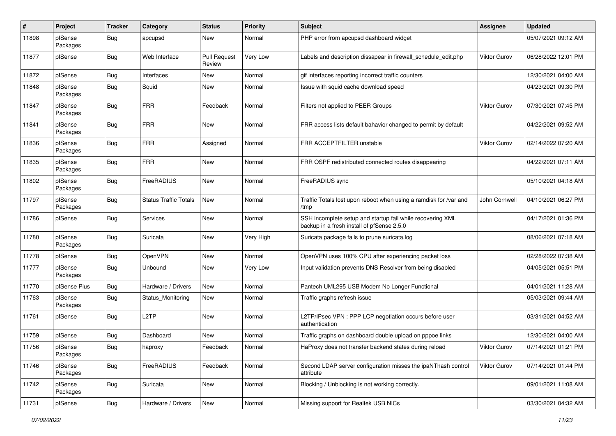| #     | Project             | <b>Tracker</b>   | Category                     | <b>Status</b>                 | <b>Priority</b> | <b>Subject</b>                                                                                           | <b>Assignee</b> | <b>Updated</b>      |
|-------|---------------------|------------------|------------------------------|-------------------------------|-----------------|----------------------------------------------------------------------------------------------------------|-----------------|---------------------|
| 11898 | pfSense<br>Packages | Bug              | apcupsd                      | <b>New</b>                    | Normal          | PHP error from apcupsd dashboard widget                                                                  |                 | 05/07/2021 09:12 AM |
| 11877 | pfSense             | Bug              | Web Interface                | <b>Pull Request</b><br>Review | Very Low        | Labels and description dissapear in firewall schedule edit.php                                           | Viktor Gurov    | 06/28/2022 12:01 PM |
| 11872 | pfSense             | Bug              | Interfaces                   | <b>New</b>                    | Normal          | gif interfaces reporting incorrect traffic counters                                                      |                 | 12/30/2021 04:00 AM |
| 11848 | pfSense<br>Packages | Bug              | Squid                        | New                           | Normal          | Issue with squid cache download speed                                                                    |                 | 04/23/2021 09:30 PM |
| 11847 | pfSense<br>Packages | Bug              | <b>FRR</b>                   | Feedback                      | Normal          | Filters not applied to PEER Groups                                                                       | Viktor Gurov    | 07/30/2021 07:45 PM |
| 11841 | pfSense<br>Packages | Bug              | <b>FRR</b>                   | <b>New</b>                    | Normal          | FRR access lists default bahavior changed to permit by default                                           |                 | 04/22/2021 09:52 AM |
| 11836 | pfSense<br>Packages | Bug              | <b>FRR</b>                   | Assigned                      | Normal          | FRR ACCEPTFILTER unstable                                                                                | Viktor Gurov    | 02/14/2022 07:20 AM |
| 11835 | pfSense<br>Packages | Bug              | <b>FRR</b>                   | <b>New</b>                    | Normal          | FRR OSPF redistributed connected routes disappearing                                                     |                 | 04/22/2021 07:11 AM |
| 11802 | pfSense<br>Packages | Bug              | FreeRADIUS                   | <b>New</b>                    | Normal          | FreeRADIUS sync                                                                                          |                 | 05/10/2021 04:18 AM |
| 11797 | pfSense<br>Packages | Bug              | <b>Status Traffic Totals</b> | <b>New</b>                    | Normal          | Traffic Totals lost upon reboot when using a ramdisk for /var and<br>/tmp                                | John Cornwell   | 04/10/2021 06:27 PM |
| 11786 | pfSense             | Bug              | Services                     | <b>New</b>                    | Normal          | SSH incomplete setup and startup fail while recovering XML<br>backup in a fresh install of pfSense 2.5.0 |                 | 04/17/2021 01:36 PM |
| 11780 | pfSense<br>Packages | Bug              | Suricata                     | <b>New</b>                    | Very High       | Suricata package fails to prune suricata.log                                                             |                 | 08/06/2021 07:18 AM |
| 11778 | pfSense             | Bug              | <b>OpenVPN</b>               | <b>New</b>                    | Normal          | OpenVPN uses 100% CPU after experiencing packet loss                                                     |                 | 02/28/2022 07:38 AM |
| 11777 | pfSense<br>Packages | Bug              | Unbound                      | New                           | Very Low        | Input validation prevents DNS Resolver from being disabled                                               |                 | 04/05/2021 05:51 PM |
| 11770 | pfSense Plus        | Bug              | Hardware / Drivers           | <b>New</b>                    | Normal          | Pantech UML295 USB Modem No Longer Functional                                                            |                 | 04/01/2021 11:28 AM |
| 11763 | pfSense<br>Packages | <b>Bug</b>       | Status Monitoring            | New                           | Normal          | Traffic graphs refresh issue                                                                             |                 | 05/03/2021 09:44 AM |
| 11761 | pfSense             | Bug              | L <sub>2</sub> TP            | New                           | Normal          | L2TP/IPsec VPN : PPP LCP negotiation occurs before user<br>authentication                                |                 | 03/31/2021 04:52 AM |
| 11759 | pfSense             | Bug              | Dashboard                    | <b>New</b>                    | Normal          | Traffic graphs on dashboard double upload on pppoe links                                                 |                 | 12/30/2021 04:00 AM |
| 11756 | pfSense<br>Packages | <sub>i</sub> Bug | haproxy                      | Feedback                      | Normal          | HaProxy does not transfer backend states during reload                                                   | Viktor Gurov    | 07/14/2021 01:21 PM |
| 11746 | pfSense<br>Packages | <b>Bug</b>       | FreeRADIUS                   | Feedback                      | Normal          | Second LDAP server configuration misses the ipaNThash control<br>attribute                               | Viktor Gurov    | 07/14/2021 01:44 PM |
| 11742 | pfSense<br>Packages | <b>Bug</b>       | Suricata                     | New                           | Normal          | Blocking / Unblocking is not working correctly.                                                          |                 | 09/01/2021 11:08 AM |
| 11731 | pfSense             | Bug              | Hardware / Drivers           | New                           | Normal          | Missing support for Realtek USB NICs                                                                     |                 | 03/30/2021 04:32 AM |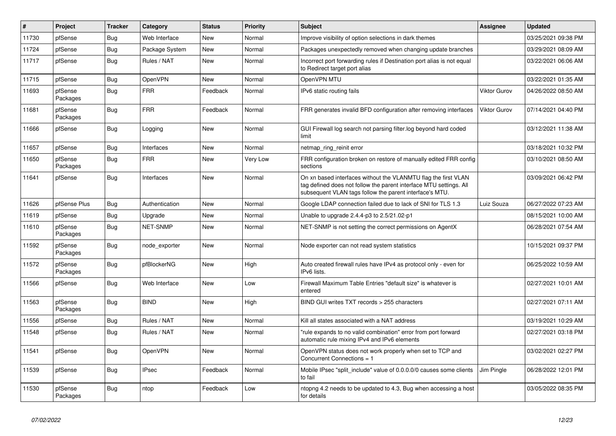| $\vert$ # | <b>Project</b>      | <b>Tracker</b> | Category       | <b>Status</b> | <b>Priority</b> | <b>Subject</b>                                                                                                                                                                                  | <b>Assignee</b> | <b>Updated</b>      |
|-----------|---------------------|----------------|----------------|---------------|-----------------|-------------------------------------------------------------------------------------------------------------------------------------------------------------------------------------------------|-----------------|---------------------|
| 11730     | pfSense             | Bug            | Web Interface  | <b>New</b>    | Normal          | Improve visibility of option selections in dark themes                                                                                                                                          |                 | 03/25/2021 09:38 PM |
| 11724     | pfSense             | Bug            | Package System | <b>New</b>    | Normal          | Packages unexpectedly removed when changing update branches                                                                                                                                     |                 | 03/29/2021 08:09 AM |
| 11717     | pfSense             | Bug            | Rules / NAT    | New           | Normal          | Incorrect port forwarding rules if Destination port alias is not equal<br>to Redirect target port alias                                                                                         |                 | 03/22/2021 06:06 AM |
| 11715     | pfSense             | Bug            | <b>OpenVPN</b> | New           | Normal          | OpenVPN MTU                                                                                                                                                                                     |                 | 03/22/2021 01:35 AM |
| 11693     | pfSense<br>Packages | Bug            | <b>FRR</b>     | Feedback      | Normal          | IPv6 static routing fails                                                                                                                                                                       | Viktor Gurov    | 04/26/2022 08:50 AM |
| 11681     | pfSense<br>Packages | <b>Bug</b>     | <b>FRR</b>     | Feedback      | Normal          | FRR generates invalid BFD configuration after removing interfaces                                                                                                                               | Viktor Gurov    | 07/14/2021 04:40 PM |
| 11666     | pfSense             | Bug            | Logging        | <b>New</b>    | Normal          | GUI Firewall log search not parsing filter.log beyond hard coded<br>limit                                                                                                                       |                 | 03/12/2021 11:38 AM |
| 11657     | pfSense             | <b>Bug</b>     | Interfaces     | <b>New</b>    | Normal          | netmap ring reinit error                                                                                                                                                                        |                 | 03/18/2021 10:32 PM |
| 11650     | pfSense<br>Packages | Bug            | <b>FRR</b>     | New           | Very Low        | FRR configuration broken on restore of manually edited FRR config<br>sections                                                                                                                   |                 | 03/10/2021 08:50 AM |
| 11641     | pfSense             | <b>Bug</b>     | Interfaces     | <b>New</b>    | Normal          | On xn based interfaces without the VLANMTU flag the first VLAN<br>tag defined does not follow the parent interface MTU settings. All<br>subsequent VLAN tags follow the parent interface's MTU. |                 | 03/09/2021 06:42 PM |
| 11626     | pfSense Plus        | Bug            | Authentication | <b>New</b>    | Normal          | Google LDAP connection failed due to lack of SNI for TLS 1.3                                                                                                                                    | Luiz Souza      | 06/27/2022 07:23 AM |
| 11619     | pfSense             | <b>Bug</b>     | Upgrade        | <b>New</b>    | Normal          | Unable to upgrade 2.4.4-p3 to 2.5/21.02-p1                                                                                                                                                      |                 | 08/15/2021 10:00 AM |
| 11610     | pfSense<br>Packages | Bug            | NET-SNMP       | New           | Normal          | NET-SNMP is not setting the correct permissions on AgentX                                                                                                                                       |                 | 06/28/2021 07:54 AM |
| 11592     | pfSense<br>Packages | <b>Bug</b>     | node exporter  | New           | Normal          | Node exporter can not read system statistics                                                                                                                                                    |                 | 10/15/2021 09:37 PM |
| 11572     | pfSense<br>Packages | Bug            | pfBlockerNG    | New           | High            | Auto created firewall rules have IPv4 as protocol only - even for<br>IPv6 lists.                                                                                                                |                 | 06/25/2022 10:59 AM |
| 11566     | pfSense             | <b>Bug</b>     | Web Interface  | <b>New</b>    | Low             | Firewall Maximum Table Entries "default size" is whatever is<br>entered                                                                                                                         |                 | 02/27/2021 10:01 AM |
| 11563     | pfSense<br>Packages | Bug            | <b>BIND</b>    | <b>New</b>    | High            | BIND GUI writes TXT records > 255 characters                                                                                                                                                    |                 | 02/27/2021 07:11 AM |
| 11556     | pfSense             | <b>Bug</b>     | Rules / NAT    | <b>New</b>    | Normal          | Kill all states associated with a NAT address                                                                                                                                                   |                 | 03/19/2021 10:29 AM |
| 11548     | pfSense             | Bug            | Rules / NAT    | New           | Normal          | "rule expands to no valid combination" error from port forward<br>automatic rule mixing IPv4 and IPv6 elements                                                                                  |                 | 02/27/2021 03:18 PM |
| 11541     | pfSense             | Bug            | <b>OpenVPN</b> | <b>New</b>    | Normal          | OpenVPN status does not work properly when set to TCP and<br>Concurrent Connections = 1                                                                                                         |                 | 03/02/2021 02:27 PM |
| 11539     | pfSense             | Bug            | <b>IPsec</b>   | Feedback      | Normal          | Mobile IPsec "split include" value of 0.0.0.0/0 causes some clients<br>to fail                                                                                                                  | Jim Pingle      | 06/28/2022 12:01 PM |
| 11530     | pfSense<br>Packages | Bug            | ntop           | Feedback      | Low             | ntopng 4.2 needs to be updated to 4.3, Bug when accessing a host<br>for details                                                                                                                 |                 | 03/05/2022 08:35 PM |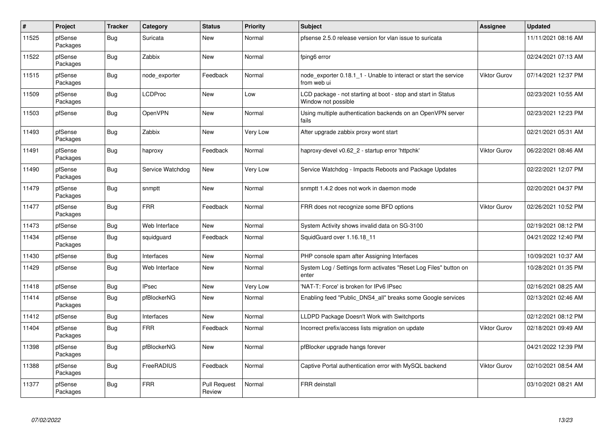| $\pmb{\#}$ | Project             | <b>Tracker</b> | Category         | <b>Status</b>                 | <b>Priority</b> | <b>Subject</b>                                                                       | <b>Assignee</b>     | <b>Updated</b>      |
|------------|---------------------|----------------|------------------|-------------------------------|-----------------|--------------------------------------------------------------------------------------|---------------------|---------------------|
| 11525      | pfSense<br>Packages | Bug            | Suricata         | <b>New</b>                    | Normal          | pfsense 2.5.0 release version for vlan issue to suricata                             |                     | 11/11/2021 08:16 AM |
| 11522      | pfSense<br>Packages | <b>Bug</b>     | Zabbix           | New                           | Normal          | fping6 error                                                                         |                     | 02/24/2021 07:13 AM |
| 11515      | pfSense<br>Packages | Bug            | node exporter    | Feedback                      | Normal          | node exporter 0.18.1 1 - Unable to interact or start the service<br>from web ui      | <b>Viktor Gurov</b> | 07/14/2021 12:37 PM |
| 11509      | pfSense<br>Packages | <b>Bug</b>     | <b>LCDProc</b>   | <b>New</b>                    | Low             | LCD package - not starting at boot - stop and start in Status<br>Window not possible |                     | 02/23/2021 10:55 AM |
| 11503      | pfSense             | Bug            | <b>OpenVPN</b>   | New                           | Normal          | Using multiple authentication backends on an OpenVPN server<br>fails                 |                     | 02/23/2021 12:23 PM |
| 11493      | pfSense<br>Packages | <b>Bug</b>     | Zabbix           | New                           | Very Low        | After upgrade zabbix proxy wont start                                                |                     | 02/21/2021 05:31 AM |
| 11491      | pfSense<br>Packages | <b>Bug</b>     | haproxy          | Feedback                      | Normal          | haproxy-devel v0.62 2 - startup error 'httpchk'                                      | <b>Viktor Gurov</b> | 06/22/2021 08:46 AM |
| 11490      | pfSense<br>Packages | <b>Bug</b>     | Service Watchdog | <b>New</b>                    | Very Low        | Service Watchdog - Impacts Reboots and Package Updates                               |                     | 02/22/2021 12:07 PM |
| 11479      | pfSense<br>Packages | Bug            | snmptt           | <b>New</b>                    | Normal          | snmptt 1.4.2 does not work in daemon mode                                            |                     | 02/20/2021 04:37 PM |
| 11477      | pfSense<br>Packages | Bug            | <b>FRR</b>       | Feedback                      | Normal          | FRR does not recognize some BFD options                                              | <b>Viktor Gurov</b> | 02/26/2021 10:52 PM |
| 11473      | pfSense             | <b>Bug</b>     | Web Interface    | <b>New</b>                    | Normal          | System Activity shows invalid data on SG-3100                                        |                     | 02/19/2021 08:12 PM |
| 11434      | pfSense<br>Packages | Bug            | squidguard       | Feedback                      | Normal          | SquidGuard over 1.16.18 11                                                           |                     | 04/21/2022 12:40 PM |
| 11430      | pfSense             | <b>Bug</b>     | Interfaces       | New                           | Normal          | PHP console spam after Assigning Interfaces                                          |                     | 10/09/2021 10:37 AM |
| 11429      | pfSense             | Bug            | Web Interface    | New                           | Normal          | System Log / Settings form activates "Reset Log Files" button on<br>enter            |                     | 10/28/2021 01:35 PM |
| 11418      | pfSense             | <b>Bug</b>     | <b>IPsec</b>     | <b>New</b>                    | Very Low        | 'NAT-T: Force' is broken for IPv6 IPsec                                              |                     | 02/16/2021 08:25 AM |
| 11414      | pfSense<br>Packages | Bug            | pfBlockerNG      | <b>New</b>                    | Normal          | Enabling feed "Public DNS4 all" breaks some Google services                          |                     | 02/13/2021 02:46 AM |
| 11412      | pfSense             | <b>Bug</b>     | Interfaces       | <b>New</b>                    | Normal          | LLDPD Package Doesn't Work with Switchports                                          |                     | 02/12/2021 08:12 PM |
| 11404      | pfSense<br>Packages | Bug            | <b>FRR</b>       | Feedback                      | Normal          | Incorrect prefix/access lists migration on update                                    | <b>Viktor Gurov</b> | 02/18/2021 09:49 AM |
| 11398      | pfSense<br>Packages | Bug            | pfBlockerNG      | <b>New</b>                    | Normal          | pfBlocker upgrade hangs forever                                                      |                     | 04/21/2022 12:39 PM |
| 11388      | pfSense<br>Packages | Bug            | FreeRADIUS       | Feedback                      | Normal          | Captive Portal authentication error with MySQL backend                               | <b>Viktor Gurov</b> | 02/10/2021 08:54 AM |
| 11377      | pfSense<br>Packages | Bug            | <b>FRR</b>       | <b>Pull Request</b><br>Review | Normal          | <b>FRR</b> deinstall                                                                 |                     | 03/10/2021 08:21 AM |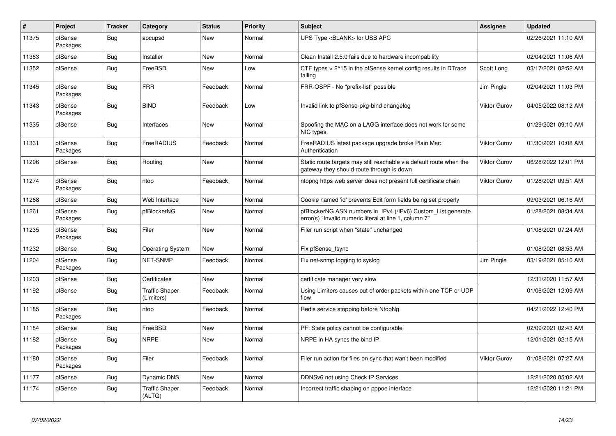| $\pmb{\#}$ | Project             | <b>Tracker</b> | Category                            | <b>Status</b> | Priority | <b>Subject</b>                                                                                                         | Assignee     | <b>Updated</b>      |
|------------|---------------------|----------------|-------------------------------------|---------------|----------|------------------------------------------------------------------------------------------------------------------------|--------------|---------------------|
| 11375      | pfSense<br>Packages | Bug            | apcupsd                             | <b>New</b>    | Normal   | UPS Type <blank> for USB APC</blank>                                                                                   |              | 02/26/2021 11:10 AM |
| 11363      | pfSense             | Bug            | Installer                           | <b>New</b>    | Normal   | Clean Install 2.5.0 fails due to hardware incompability                                                                |              | 02/04/2021 11:06 AM |
| 11352      | pfSense             | Bug            | FreeBSD                             | <b>New</b>    | Low      | CTF types > 2^15 in the pfSense kernel config results in DTrace<br>failing                                             | Scott Long   | 03/17/2021 02:52 AM |
| 11345      | pfSense<br>Packages | <b>Bug</b>     | <b>FRR</b>                          | Feedback      | Normal   | FRR-OSPF - No "prefix-list" possible                                                                                   | Jim Pingle   | 02/04/2021 11:03 PM |
| 11343      | pfSense<br>Packages | Bug            | <b>BIND</b>                         | Feedback      | Low      | Invalid link to pfSense-pkg-bind changelog                                                                             | Viktor Gurov | 04/05/2022 08:12 AM |
| 11335      | pfSense             | Bug            | Interfaces                          | New           | Normal   | Spoofing the MAC on a LAGG interface does not work for some<br>NIC types.                                              |              | 01/29/2021 09:10 AM |
| 11331      | pfSense<br>Packages | Bug            | FreeRADIUS                          | Feedback      | Normal   | FreeRADIUS latest package upgrade broke Plain Mac<br>Authentication                                                    | Viktor Gurov | 01/30/2021 10:08 AM |
| 11296      | pfSense             | <b>Bug</b>     | Routing                             | <b>New</b>    | Normal   | Static route targets may still reachable via default route when the<br>gateway they should route through is down       | Viktor Gurov | 06/28/2022 12:01 PM |
| 11274      | pfSense<br>Packages | <b>Bug</b>     | ntop                                | Feedback      | Normal   | ntopng https web server does not present full certificate chain                                                        | Viktor Gurov | 01/28/2021 09:51 AM |
| 11268      | pfSense             | Bug            | Web Interface                       | <b>New</b>    | Normal   | Cookie named 'id' prevents Edit form fields being set properly                                                         |              | 09/03/2021 06:16 AM |
| 11261      | pfSense<br>Packages | Bug            | pfBlockerNG                         | <b>New</b>    | Normal   | pfBlockerNG ASN numbers in IPv4 (/IPv6) Custom_List generate<br>error(s) "Invalid numeric literal at line 1, column 7" |              | 01/28/2021 08:34 AM |
| 11235      | pfSense<br>Packages | Bug            | Filer                               | <b>New</b>    | Normal   | Filer run script when "state" unchanged                                                                                |              | 01/08/2021 07:24 AM |
| 11232      | pfSense             | <b>Bug</b>     | <b>Operating System</b>             | <b>New</b>    | Normal   | Fix pfSense fsync                                                                                                      |              | 01/08/2021 08:53 AM |
| 11204      | pfSense<br>Packages | <b>Bug</b>     | <b>NET-SNMP</b>                     | Feedback      | Normal   | Fix net-snmp logging to syslog                                                                                         | Jim Pingle   | 03/19/2021 05:10 AM |
| 11203      | pfSense             | <b>Bug</b>     | Certificates                        | <b>New</b>    | Normal   | certificate manager very slow                                                                                          |              | 12/31/2020 11:57 AM |
| 11192      | pfSense             | Bug            | <b>Traffic Shaper</b><br>(Limiters) | Feedback      | Normal   | Using Limiters causes out of order packets within one TCP or UDP<br>flow                                               |              | 01/06/2021 12:09 AM |
| 11185      | pfSense<br>Packages | <b>Bug</b>     | ntop                                | Feedback      | Normal   | Redis service stopping before NtopNg                                                                                   |              | 04/21/2022 12:40 PM |
| 11184      | pfSense             | Bug            | FreeBSD                             | <b>New</b>    | Normal   | PF: State policy cannot be configurable                                                                                |              | 02/09/2021 02:43 AM |
| 11182      | pfSense<br>Packages | Bug            | <b>NRPE</b>                         | <b>New</b>    | Normal   | NRPE in HA syncs the bind IP                                                                                           |              | 12/01/2021 02:15 AM |
| 11180      | pfSense<br>Packages | <b>Bug</b>     | Filer                               | Feedback      | Normal   | Filer run action for files on sync that wan't been modified                                                            | Viktor Gurov | 01/08/2021 07:27 AM |
| 11177      | pfSense             | Bug            | Dynamic DNS                         | New           | Normal   | DDNSv6 not using Check IP Services                                                                                     |              | 12/21/2020 05:02 AM |
| 11174      | pfSense             | Bug            | <b>Traffic Shaper</b><br>(ALTQ)     | Feedback      | Normal   | Incorrect traffic shaping on pppoe interface                                                                           |              | 12/21/2020 11:21 PM |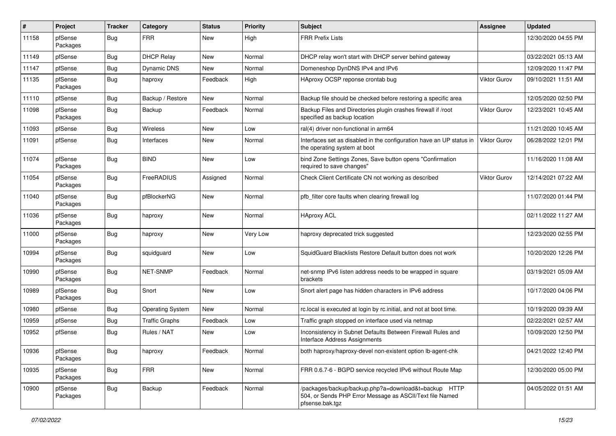| $\vert$ # | Project             | <b>Tracker</b> | Category                | <b>Status</b> | <b>Priority</b> | <b>Subject</b>                                                                                                                      | <b>Assignee</b>     | <b>Updated</b>      |
|-----------|---------------------|----------------|-------------------------|---------------|-----------------|-------------------------------------------------------------------------------------------------------------------------------------|---------------------|---------------------|
| 11158     | pfSense<br>Packages | Bug            | <b>FRR</b>              | New           | High            | <b>FRR Prefix Lists</b>                                                                                                             |                     | 12/30/2020 04:55 PM |
| 11149     | pfSense             | <b>Bug</b>     | <b>DHCP Relay</b>       | New           | Normal          | DHCP relay won't start with DHCP server behind gateway                                                                              |                     | 03/22/2021 05:13 AM |
| 11147     | pfSense             | <b>Bug</b>     | <b>Dynamic DNS</b>      | New           | Normal          | Domeneshop DynDNS IPv4 and IPv6                                                                                                     |                     | 12/09/2020 11:47 PM |
| 11135     | pfSense<br>Packages | Bug            | haproxy                 | Feedback      | High            | HAproxy OCSP reponse crontab bug                                                                                                    | <b>Viktor Gurov</b> | 09/10/2021 11:51 AM |
| 11110     | pfSense             | <b>Bug</b>     | Backup / Restore        | New           | Normal          | Backup file should be checked before restoring a specific area                                                                      |                     | 12/05/2020 02:50 PM |
| 11098     | pfSense<br>Packages | Bug            | Backup                  | Feedback      | Normal          | Backup Files and Directories plugin crashes firewall if /root<br>specified as backup location                                       | Viktor Gurov        | 12/23/2021 10:45 AM |
| 11093     | pfSense             | <b>Bug</b>     | <b>Wireless</b>         | <b>New</b>    | Low             | ral(4) driver non-functional in arm64                                                                                               |                     | 11/21/2020 10:45 AM |
| 11091     | pfSense             | Bug            | Interfaces              | New           | Normal          | Interfaces set as disabled in the configuration have an UP status in<br>the operating system at boot                                | <b>Viktor Gurov</b> | 06/28/2022 12:01 PM |
| 11074     | pfSense<br>Packages | Bug            | <b>BIND</b>             | <b>New</b>    | Low             | bind Zone Settings Zones, Save button opens "Confirmation<br>required to save changes"                                              |                     | 11/16/2020 11:08 AM |
| 11054     | pfSense<br>Packages | Bug            | FreeRADIUS              | Assigned      | Normal          | Check Client Certificate CN not working as described                                                                                | <b>Viktor Gurov</b> | 12/14/2021 07:22 AM |
| 11040     | pfSense<br>Packages | Bug            | pfBlockerNG             | New           | Normal          | pfb filter core faults when clearing firewall log                                                                                   |                     | 11/07/2020 01:44 PM |
| 11036     | pfSense<br>Packages | Bug            | haproxy                 | New           | Normal          | <b>HAproxy ACL</b>                                                                                                                  |                     | 02/11/2022 11:27 AM |
| 11000     | pfSense<br>Packages | Bug            | haproxy                 | <b>New</b>    | Very Low        | haproxy deprecated trick suggested                                                                                                  |                     | 12/23/2020 02:55 PM |
| 10994     | pfSense<br>Packages | Bug            | squidguard              | New           | Low             | SquidGuard Blacklists Restore Default button does not work                                                                          |                     | 10/20/2020 12:26 PM |
| 10990     | pfSense<br>Packages | Bug            | NET-SNMP                | Feedback      | Normal          | net-snmp IPv6 listen address needs to be wrapped in square<br>brackets                                                              |                     | 03/19/2021 05:09 AM |
| 10989     | pfSense<br>Packages | Bug            | Snort                   | <b>New</b>    | Low             | Snort alert page has hidden characters in IPv6 address                                                                              |                     | 10/17/2020 04:06 PM |
| 10980     | pfSense             | Bug            | <b>Operating System</b> | New           | Normal          | rc.local is executed at login by rc.initial, and not at boot time.                                                                  |                     | 10/19/2020 09:39 AM |
| 10959     | pfSense             | <b>Bug</b>     | <b>Traffic Graphs</b>   | Feedback      | Low             | Traffic graph stopped on interface used via netmap                                                                                  |                     | 02/22/2021 02:57 AM |
| 10952     | pfSense             | Bug            | Rules / NAT             | New           | Low             | Inconsistency in Subnet Defaults Between Firewall Rules and<br>Interface Address Assignments                                        |                     | 10/09/2020 12:50 PM |
| 10936     | pfSense<br>Packages | Bug            | haproxy                 | Feedback      | Normal          | both haproxy/haproxy-devel non-existent option lb-agent-chk                                                                         |                     | 04/21/2022 12:40 PM |
| 10935     | pfSense<br>Packages | Bug            | <b>FRR</b>              | New           | Normal          | FRR 0.6.7-6 - BGPD service recycled IPv6 without Route Map                                                                          |                     | 12/30/2020 05:00 PM |
| 10900     | pfSense<br>Packages | Bug            | Backup                  | Feedback      | Normal          | /packages/backup/backup.php?a=download&t=backup HTTP<br>504, or Sends PHP Error Message as ASCII/Text file Named<br>pfsense.bak.tgz |                     | 04/05/2022 01:51 AM |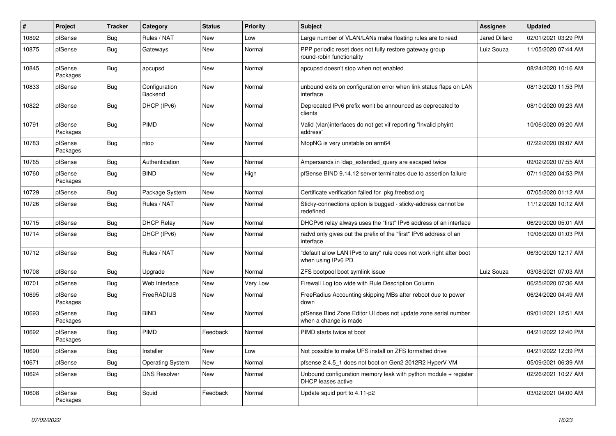| #     | Project             | Tracker    | Category                 | <b>Status</b> | <b>Priority</b> | Subject                                                                                      | <b>Assignee</b> | <b>Updated</b>      |
|-------|---------------------|------------|--------------------------|---------------|-----------------|----------------------------------------------------------------------------------------------|-----------------|---------------------|
| 10892 | pfSense             | <b>Bug</b> | Rules / NAT              | New           | Low             | Large number of VLAN/LANs make floating rules are to read                                    | Jared Dillard   | 02/01/2021 03:29 PM |
| 10875 | pfSense             | Bug        | Gateways                 | New           | Normal          | PPP periodic reset does not fully restore gateway group<br>round-robin functionality         | Luiz Souza      | 11/05/2020 07:44 AM |
| 10845 | pfSense<br>Packages | Bug        | apcupsd                  | New           | Normal          | apcupsd doesn't stop when not enabled                                                        |                 | 08/24/2020 10:16 AM |
| 10833 | pfSense             | Bug        | Configuration<br>Backend | <b>New</b>    | Normal          | unbound exits on configuration error when link status flaps on LAN<br>interface              |                 | 08/13/2020 11:53 PM |
| 10822 | pfSense             | Bug        | DHCP (IPv6)              | <b>New</b>    | Normal          | Deprecated IPv6 prefix won't be announced as deprecated to<br>clients                        |                 | 08/10/2020 09:23 AM |
| 10791 | pfSense<br>Packages | Bug        | PIMD                     | New           | Normal          | Valid (vlan)interfaces do not get vif reporting "Invalid phyint<br>address"                  |                 | 10/06/2020 09:20 AM |
| 10783 | pfSense<br>Packages | Bug        | ntop                     | New           | Normal          | NtopNG is very unstable on arm64                                                             |                 | 07/22/2020 09:07 AM |
| 10765 | pfSense             | Bug        | Authentication           | New           | Normal          | Ampersands in Idap extended query are escaped twice                                          |                 | 09/02/2020 07:55 AM |
| 10760 | pfSense<br>Packages | Bug        | <b>BIND</b>              | <b>New</b>    | High            | pfSense BIND 9.14.12 server terminates due to assertion failure                              |                 | 07/11/2020 04:53 PM |
| 10729 | pfSense             | Bug        | Package System           | <b>New</b>    | Normal          | Certificate verification failed for pkg.freebsd.org                                          |                 | 07/05/2020 01:12 AM |
| 10726 | pfSense             | Bug        | Rules / NAT              | New           | Normal          | Sticky-connections option is bugged - sticky-address cannot be<br>redefined                  |                 | 11/12/2020 10:12 AM |
| 10715 | pfSense             | Bug        | <b>DHCP Relay</b>        | <b>New</b>    | Normal          | DHCPv6 relay always uses the "first" IPv6 address of an interface                            |                 | 06/29/2020 05:01 AM |
| 10714 | pfSense             | Bug        | DHCP (IPv6)              | New           | Normal          | radvd only gives out the prefix of the "first" IPv6 address of an<br>interface               |                 | 10/06/2020 01:03 PM |
| 10712 | pfSense             | Bug        | Rules / NAT              | <b>New</b>    | Normal          | "default allow LAN IPv6 to any" rule does not work right after boot<br>when using IPv6 PD    |                 | 06/30/2020 12:17 AM |
| 10708 | pfSense             | Bug        | Upgrade                  | New           | Normal          | ZFS bootpool boot symlink issue                                                              | Luiz Souza      | 03/08/2021 07:03 AM |
| 10701 | pfSense             | <b>Bug</b> | Web Interface            | New           | Very Low        | Firewall Log too wide with Rule Description Column                                           |                 | 06/25/2020 07:36 AM |
| 10695 | pfSense<br>Packages | Bug        | FreeRADIUS               | <b>New</b>    | Normal          | FreeRadius Accounting skipping MBs after reboot due to power<br>down                         |                 | 06/24/2020 04:49 AM |
| 10693 | pfSense<br>Packages | Bug        | <b>BIND</b>              | New           | Normal          | pfSense Bind Zone Editor UI does not update zone serial number<br>when a change is made      |                 | 09/01/2021 12:51 AM |
| 10692 | pfSense<br>Packages | Bug        | PIMD                     | Feedback      | Normal          | PIMD starts twice at boot                                                                    |                 | 04/21/2022 12:40 PM |
| 10690 | pfSense             | <b>Bug</b> | Installer                | New           | Low             | Not possible to make UFS install on ZFS formatted drive                                      |                 | 04/21/2022 12:39 PM |
| 10671 | pfSense             | Bug        | <b>Operating System</b>  | New           | Normal          | pfsense 2.4.5_1 does not boot on Gen2 2012R2 HyperV VM                                       |                 | 05/09/2021 06:39 AM |
| 10624 | pfSense             | <b>Bug</b> | <b>DNS Resolver</b>      | New           | Normal          | Unbound configuration memory leak with python module + register<br><b>DHCP</b> leases active |                 | 02/26/2021 10:27 AM |
| 10608 | pfSense<br>Packages | Bug        | Squid                    | Feedback      | Normal          | Update squid port to 4.11-p2                                                                 |                 | 03/02/2021 04:00 AM |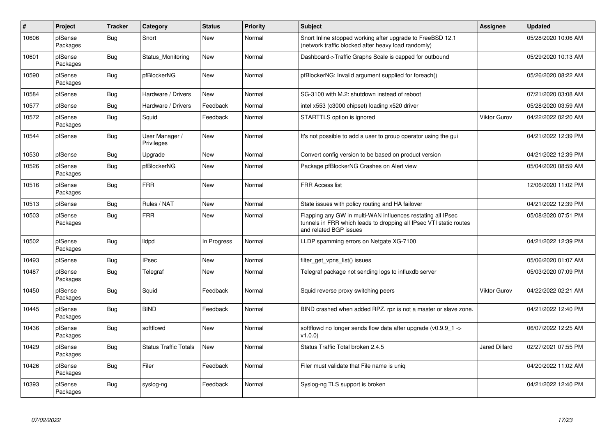| $\vert$ # | Project             | <b>Tracker</b> | Category                     | <b>Status</b> | <b>Priority</b> | <b>Subject</b>                                                                                                                                              | Assignee             | <b>Updated</b>      |
|-----------|---------------------|----------------|------------------------------|---------------|-----------------|-------------------------------------------------------------------------------------------------------------------------------------------------------------|----------------------|---------------------|
| 10606     | pfSense<br>Packages | <b>Bug</b>     | Snort                        | <b>New</b>    | Normal          | Snort Inline stopped working after upgrade to FreeBSD 12.1<br>(network traffic blocked after heavy load randomly)                                           |                      | 05/28/2020 10:06 AM |
| 10601     | pfSense<br>Packages | <b>Bug</b>     | Status Monitoring            | New           | Normal          | Dashboard->Traffic Graphs Scale is capped for outbound                                                                                                      |                      | 05/29/2020 10:13 AM |
| 10590     | pfSense<br>Packages | Bug            | pfBlockerNG                  | <b>New</b>    | Normal          | pfBlockerNG: Invalid argument supplied for foreach()                                                                                                        |                      | 05/26/2020 08:22 AM |
| 10584     | pfSense             | <b>Bug</b>     | Hardware / Drivers           | <b>New</b>    | Normal          | SG-3100 with M.2: shutdown instead of reboot                                                                                                                |                      | 07/21/2020 03:08 AM |
| 10577     | pfSense             | Bug            | Hardware / Drivers           | Feedback      | Normal          | intel x553 (c3000 chipset) loading x520 driver                                                                                                              |                      | 05/28/2020 03:59 AM |
| 10572     | pfSense<br>Packages | <b>Bug</b>     | Squid                        | Feedback      | Normal          | STARTTLS option is ignored                                                                                                                                  | <b>Viktor Gurov</b>  | 04/22/2022 02:20 AM |
| 10544     | pfSense             | Bug            | User Manager /<br>Privileges | <b>New</b>    | Normal          | It's not possible to add a user to group operator using the gui                                                                                             |                      | 04/21/2022 12:39 PM |
| 10530     | pfSense             | <b>Bug</b>     | Upgrade                      | <b>New</b>    | Normal          | Convert config version to be based on product version                                                                                                       |                      | 04/21/2022 12:39 PM |
| 10526     | pfSense<br>Packages | <b>Bug</b>     | pfBlockerNG                  | <b>New</b>    | Normal          | Package pfBlockerNG Crashes on Alert view                                                                                                                   |                      | 05/04/2020 08:59 AM |
| 10516     | pfSense<br>Packages | <b>Bug</b>     | <b>FRR</b>                   | <b>New</b>    | Normal          | <b>FRR Access list</b>                                                                                                                                      |                      | 12/06/2020 11:02 PM |
| 10513     | pfSense             | Bug            | Rules / NAT                  | <b>New</b>    | Normal          | State issues with policy routing and HA failover                                                                                                            |                      | 04/21/2022 12:39 PM |
| 10503     | pfSense<br>Packages | Bug            | <b>FRR</b>                   | <b>New</b>    | Normal          | Flapping any GW in multi-WAN influences restating all IPsec<br>tunnels in FRR which leads to dropping all IPsec VTI static routes<br>and related BGP issues |                      | 05/08/2020 07:51 PM |
| 10502     | pfSense<br>Packages | Bug            | <b>Ildpd</b>                 | In Progress   | Normal          | LLDP spamming errors on Netgate XG-7100                                                                                                                     |                      | 04/21/2022 12:39 PM |
| 10493     | pfSense             | <b>Bug</b>     | <b>IPsec</b>                 | <b>New</b>    | Normal          | filter_get_vpns_list() issues                                                                                                                               |                      | 05/06/2020 01:07 AM |
| 10487     | pfSense<br>Packages | Bug            | Telegraf                     | New           | Normal          | Telegraf package not sending logs to influxdb server                                                                                                        |                      | 05/03/2020 07:09 PM |
| 10450     | pfSense<br>Packages | Bug            | Squid                        | Feedback      | Normal          | Squid reverse proxy switching peers                                                                                                                         | <b>Viktor Gurov</b>  | 04/22/2022 02:21 AM |
| 10445     | pfSense<br>Packages | <b>Bug</b>     | <b>BIND</b>                  | Feedback      | Normal          | BIND crashed when added RPZ. rpz is not a master or slave zone.                                                                                             |                      | 04/21/2022 12:40 PM |
| 10436     | pfSense<br>Packages | Bug            | softflowd                    | <b>New</b>    | Normal          | softflowd no longer sends flow data after upgrade $(v0.9.9 1 -$<br>v1.0.0                                                                                   |                      | 06/07/2022 12:25 AM |
| 10429     | pfSense<br>Packages | Bug            | <b>Status Traffic Totals</b> | <b>New</b>    | Normal          | Status Traffic Total broken 2.4.5                                                                                                                           | <b>Jared Dillard</b> | 02/27/2021 07:55 PM |
| 10426     | pfSense<br>Packages | Bug            | Filer                        | Feedback      | Normal          | Filer must validate that File name is unig                                                                                                                  |                      | 04/20/2022 11:02 AM |
| 10393     | pfSense<br>Packages | Bug            | syslog-ng                    | Feedback      | Normal          | Syslog-ng TLS support is broken                                                                                                                             |                      | 04/21/2022 12:40 PM |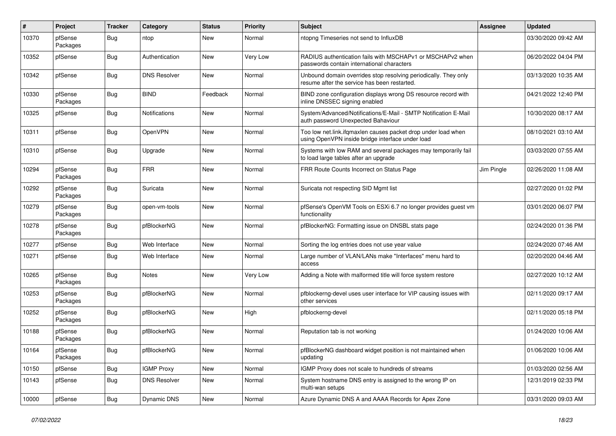| $\sharp$ | Project             | <b>Tracker</b> | Category             | <b>Status</b> | <b>Priority</b> | <b>Subject</b>                                                                                                    | Assignee   | <b>Updated</b>      |
|----------|---------------------|----------------|----------------------|---------------|-----------------|-------------------------------------------------------------------------------------------------------------------|------------|---------------------|
| 10370    | pfSense<br>Packages | Bug            | ntop                 | New           | Normal          | ntopng Timeseries not send to InfluxDB                                                                            |            | 03/30/2020 09:42 AM |
| 10352    | pfSense             | <b>Bug</b>     | Authentication       | New           | Very Low        | RADIUS authentication fails with MSCHAPv1 or MSCHAPv2 when<br>passwords contain international characters          |            | 06/20/2022 04:04 PM |
| 10342    | pfSense             | <b>Bug</b>     | <b>DNS Resolver</b>  | <b>New</b>    | Normal          | Unbound domain overrides stop resolving periodically. They only<br>resume after the service has been restarted.   |            | 03/13/2020 10:35 AM |
| 10330    | pfSense<br>Packages | <b>Bug</b>     | <b>BIND</b>          | Feedback      | Normal          | BIND zone configuration displays wrong DS resource record with<br>inline DNSSEC signing enabled                   |            | 04/21/2022 12:40 PM |
| 10325    | pfSense             | <b>Bug</b>     | <b>Notifications</b> | New           | Normal          | System/Advanced/Notifications/E-Mail - SMTP Notification E-Mail<br>auth password Unexpected Bahaviour             |            | 10/30/2020 08:17 AM |
| 10311    | pfSense             | <b>Bug</b>     | OpenVPN              | <b>New</b>    | Normal          | Too low net.link.ifqmaxlen causes packet drop under load when<br>using OpenVPN inside bridge interface under load |            | 08/10/2021 03:10 AM |
| 10310    | pfSense             | <b>Bug</b>     | Upgrade              | <b>New</b>    | Normal          | Systems with low RAM and several packages may temporarily fail<br>to load large tables after an upgrade           |            | 03/03/2020 07:55 AM |
| 10294    | pfSense<br>Packages | <b>Bug</b>     | <b>FRR</b>           | New           | Normal          | FRR Route Counts Incorrect on Status Page                                                                         | Jim Pingle | 02/26/2020 11:08 AM |
| 10292    | pfSense<br>Packages | <b>Bug</b>     | Suricata             | New           | Normal          | Suricata not respecting SID Mgmt list                                                                             |            | 02/27/2020 01:02 PM |
| 10279    | pfSense<br>Packages | Bug            | open-vm-tools        | <b>New</b>    | Normal          | pfSense's OpenVM Tools on ESXi 6.7 no longer provides guest vm<br>functionality                                   |            | 03/01/2020 06:07 PM |
| 10278    | pfSense<br>Packages | <b>Bug</b>     | pfBlockerNG          | New           | Normal          | pfBlockerNG: Formatting issue on DNSBL stats page                                                                 |            | 02/24/2020 01:36 PM |
| 10277    | pfSense             | <b>Bug</b>     | Web Interface        | <b>New</b>    | Normal          | Sorting the log entries does not use year value                                                                   |            | 02/24/2020 07:46 AM |
| 10271    | pfSense             | <b>Bug</b>     | Web Interface        | New           | Normal          | Large number of VLAN/LANs make "Interfaces" menu hard to<br>access                                                |            | 02/20/2020 04:46 AM |
| 10265    | pfSense<br>Packages | <b>Bug</b>     | Notes                | New           | Very Low        | Adding a Note with malformed title will force system restore                                                      |            | 02/27/2020 10:12 AM |
| 10253    | pfSense<br>Packages | <b>Bug</b>     | pfBlockerNG          | New           | Normal          | pfblockerng-devel uses user interface for VIP causing issues with<br>other services                               |            | 02/11/2020 09:17 AM |
| 10252    | pfSense<br>Packages | <b>Bug</b>     | pfBlockerNG          | <b>New</b>    | High            | pfblockerng-devel                                                                                                 |            | 02/11/2020 05:18 PM |
| 10188    | pfSense<br>Packages | Bug            | pfBlockerNG          | New           | Normal          | Reputation tab is not working                                                                                     |            | 01/24/2020 10:06 AM |
| 10164    | pfSense<br>Packages | i Bug          | pfBlockerNG          | New           | Normal          | pfBlockerNG dashboard widget position is not maintained when<br>updating                                          |            | 01/06/2020 10:06 AM |
| 10150    | pfSense             | <b>Bug</b>     | <b>IGMP Proxy</b>    | New           | Normal          | IGMP Proxy does not scale to hundreds of streams                                                                  |            | 01/03/2020 02:56 AM |
| 10143    | pfSense             | <b>Bug</b>     | <b>DNS Resolver</b>  | New           | Normal          | System hostname DNS entry is assigned to the wrong IP on<br>multi-wan setups                                      |            | 12/31/2019 02:33 PM |
| 10000    | pfSense             | <b>Bug</b>     | Dynamic DNS          | New           | Normal          | Azure Dynamic DNS A and AAAA Records for Apex Zone                                                                |            | 03/31/2020 09:03 AM |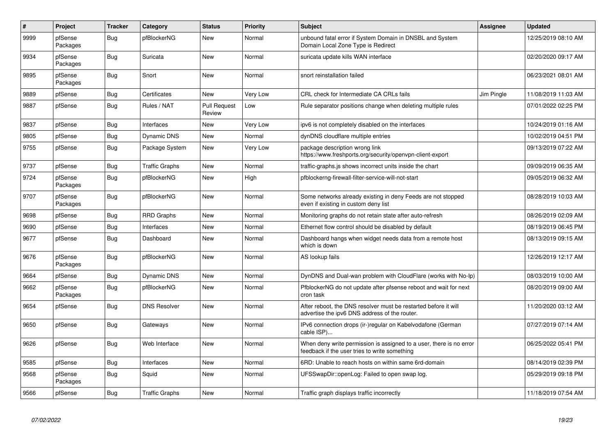| $\vert$ # | Project             | <b>Tracker</b> | Category              | <b>Status</b>                 | <b>Priority</b> | <b>Subject</b>                                                                                                       | Assignee   | <b>Updated</b>      |
|-----------|---------------------|----------------|-----------------------|-------------------------------|-----------------|----------------------------------------------------------------------------------------------------------------------|------------|---------------------|
| 9999      | pfSense<br>Packages | Bug            | pfBlockerNG           | <b>New</b>                    | Normal          | unbound fatal error if System Domain in DNSBL and System<br>Domain Local Zone Type is Redirect                       |            | 12/25/2019 08:10 AM |
| 9934      | pfSense<br>Packages | <b>Bug</b>     | Suricata              | New                           | Normal          | suricata update kills WAN interface                                                                                  |            | 02/20/2020 09:17 AM |
| 9895      | pfSense<br>Packages | <b>Bug</b>     | Snort                 | <b>New</b>                    | Normal          | snort reinstallation failed                                                                                          |            | 06/23/2021 08:01 AM |
| 9889      | pfSense             | Bug            | Certificates          | <b>New</b>                    | Very Low        | CRL check for Intermediate CA CRLs fails                                                                             | Jim Pingle | 11/08/2019 11:03 AM |
| 9887      | pfSense             | Bug            | Rules / NAT           | <b>Pull Request</b><br>Review | Low             | Rule separator positions change when deleting multiple rules                                                         |            | 07/01/2022 02:25 PM |
| 9837      | pfSense             | <b>Bug</b>     | Interfaces            | <b>New</b>                    | Very Low        | ipv6 is not completely disabled on the interfaces                                                                    |            | 10/24/2019 01:16 AM |
| 9805      | pfSense             | Bug            | Dynamic DNS           | New                           | Normal          | dynDNS cloudflare multiple entries                                                                                   |            | 10/02/2019 04:51 PM |
| 9755      | pfSense             | <b>Bug</b>     | Package System        | New                           | Very Low        | package description wrong link<br>https://www.freshports.org/security/openvpn-client-export                          |            | 09/13/2019 07:22 AM |
| 9737      | pfSense             | <b>Bug</b>     | <b>Traffic Graphs</b> | New                           | Normal          | traffic-graphs.js shows incorrect units inside the chart                                                             |            | 09/09/2019 06:35 AM |
| 9724      | pfSense<br>Packages | Bug            | pfBlockerNG           | New                           | High            | pfblockerng-firewall-filter-service-will-not-start                                                                   |            | 09/05/2019 06:32 AM |
| 9707      | pfSense<br>Packages | Bug            | pfBlockerNG           | New                           | Normal          | Some networks already existing in deny Feeds are not stopped<br>even if existing in custom deny list                 |            | 08/28/2019 10:03 AM |
| 9698      | pfSense             | <b>Bug</b>     | <b>RRD Graphs</b>     | <b>New</b>                    | Normal          | Monitoring graphs do not retain state after auto-refresh                                                             |            | 08/26/2019 02:09 AM |
| 9690      | pfSense             | Bug            | Interfaces            | New                           | Normal          | Ethernet flow control should be disabled by default                                                                  |            | 08/19/2019 06:45 PM |
| 9677      | pfSense             | <b>Bug</b>     | Dashboard             | New                           | Normal          | Dashboard hangs when widget needs data from a remote host<br>which is down                                           |            | 08/13/2019 09:15 AM |
| 9676      | pfSense<br>Packages | Bug            | pfBlockerNG           | New                           | Normal          | AS lookup fails                                                                                                      |            | 12/26/2019 12:17 AM |
| 9664      | pfSense             | <b>Bug</b>     | Dynamic DNS           | New                           | Normal          | DynDNS and Dual-wan problem with CloudFlare (works with No-Ip)                                                       |            | 08/03/2019 10:00 AM |
| 9662      | pfSense<br>Packages | Bug            | pfBlockerNG           | New                           | Normal          | PfblockerNG do not update after pfsense reboot and wait for next<br>cron task                                        |            | 08/20/2019 09:00 AM |
| 9654      | pfSense             | Bug            | <b>DNS Resolver</b>   | <b>New</b>                    | Normal          | After reboot, the DNS resolver must be restarted before it will<br>advertise the ipv6 DNS address of the router.     |            | 11/20/2020 03:12 AM |
| 9650      | pfSense             | Bug            | Gateways              | New                           | Normal          | IPv6 connection drops (ir-)regular on Kabelvodafone (German<br>cable ISP)                                            |            | 07/27/2019 07:14 AM |
| 9626      | pfSense             | <b>Bug</b>     | Web Interface         | New                           | Normal          | When deny write permission is assigned to a user, there is no error<br>feedback if the user tries to write something |            | 06/25/2022 05:41 PM |
| 9585      | pfSense             | Bug            | Interfaces            | <b>New</b>                    | Normal          | 6RD: Unable to reach hosts on within same 6rd-domain                                                                 |            | 08/14/2019 02:39 PM |
| 9568      | pfSense<br>Packages | Bug            | Squid                 | <b>New</b>                    | Normal          | UFSSwapDir::openLog: Failed to open swap log.                                                                        |            | 05/29/2019 09:18 PM |
| 9566      | pfSense             | Bug            | <b>Traffic Graphs</b> | <b>New</b>                    | Normal          | Traffic graph displays traffic incorrectly                                                                           |            | 11/18/2019 07:54 AM |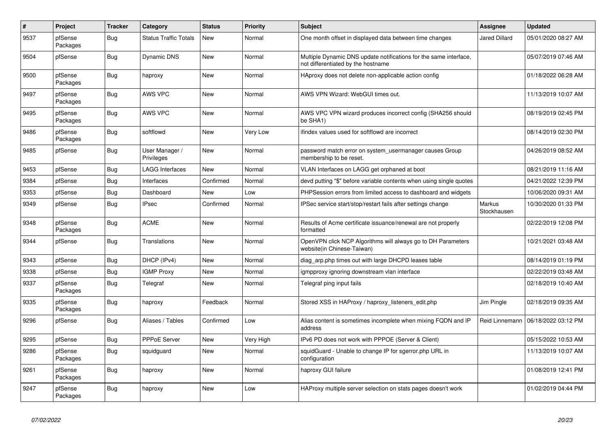| $\sharp$ | Project             | <b>Tracker</b> | Category                     | <b>Status</b> | <b>Priority</b> | <b>Subject</b>                                                                                          | Assignee              | <b>Updated</b>      |
|----------|---------------------|----------------|------------------------------|---------------|-----------------|---------------------------------------------------------------------------------------------------------|-----------------------|---------------------|
| 9537     | pfSense<br>Packages | Bug            | <b>Status Traffic Totals</b> | New           | Normal          | One month offset in displayed data between time changes                                                 | <b>Jared Dillard</b>  | 05/01/2020 08:27 AM |
| 9504     | pfSense             | <b>Bug</b>     | <b>Dynamic DNS</b>           | New           | Normal          | Multiple Dynamic DNS update notifications for the same interface,<br>not differentiated by the hostname |                       | 05/07/2019 07:46 AM |
| 9500     | pfSense<br>Packages | <b>Bug</b>     | haproxy                      | <b>New</b>    | Normal          | HAproxy does not delete non-applicable action config                                                    |                       | 01/18/2022 06:28 AM |
| 9497     | pfSense<br>Packages | <b>Bug</b>     | AWS VPC                      | <b>New</b>    | Normal          | AWS VPN Wizard: WebGUI times out.                                                                       |                       | 11/13/2019 10:07 AM |
| 9495     | pfSense<br>Packages | Bug            | AWS VPC                      | New           | Normal          | AWS VPC VPN wizard produces incorrect config (SHA256 should<br>be SHA1)                                 |                       | 08/19/2019 02:45 PM |
| 9486     | pfSense<br>Packages | Bug            | softflowd                    | New           | Very Low        | ifindex values used for softflowd are incorrect                                                         |                       | 08/14/2019 02:30 PM |
| 9485     | pfSense             | <b>Bug</b>     | User Manager /<br>Privileges | <b>New</b>    | Normal          | password match error on system_usermanager causes Group<br>membership to be reset.                      |                       | 04/26/2019 08:52 AM |
| 9453     | pfSense             | Bug            | <b>LAGG Interfaces</b>       | <b>New</b>    | Normal          | VLAN Interfaces on LAGG get orphaned at boot                                                            |                       | 08/21/2019 11:16 AM |
| 9384     | pfSense             | Bug            | Interfaces                   | Confirmed     | Normal          | devd putting "\$" before variable contents when using single quotes                                     |                       | 04/21/2022 12:39 PM |
| 9353     | pfSense             | <b>Bug</b>     | Dashboard                    | New           | Low             | PHPSession errors from limited access to dashboard and widgets                                          |                       | 10/06/2020 09:31 AM |
| 9349     | pfSense             | Bug            | <b>IPsec</b>                 | Confirmed     | Normal          | IPSec service start/stop/restart fails after settings change                                            | Markus<br>Stockhausen | 10/30/2020 01:33 PM |
| 9348     | pfSense<br>Packages | <b>Bug</b>     | <b>ACME</b>                  | <b>New</b>    | Normal          | Results of Acme certificate issuance/renewal are not properly<br>formatted                              |                       | 02/22/2019 12:08 PM |
| 9344     | pfSense             | Bug            | <b>Translations</b>          | New           | Normal          | OpenVPN click NCP Algorithms will always go to DH Parameters<br>website(in Chinese-Taiwan)              |                       | 10/21/2021 03:48 AM |
| 9343     | pfSense             | Bug            | DHCP (IPv4)                  | New           | Normal          | diag arp.php times out with large DHCPD leases table                                                    |                       | 08/14/2019 01:19 PM |
| 9338     | pfSense             | Bug            | <b>IGMP Proxy</b>            | New           | Normal          | igmpproxy ignoring downstream vlan interface                                                            |                       | 02/22/2019 03:48 AM |
| 9337     | pfSense<br>Packages | Bug            | Telegraf                     | <b>New</b>    | Normal          | Telegraf ping input fails                                                                               |                       | 02/18/2019 10:40 AM |
| 9335     | pfSense<br>Packages | <b>Bug</b>     | haproxy                      | Feedback      | Normal          | Stored XSS in HAProxy / haproxy listeners edit.php                                                      | Jim Pingle            | 02/18/2019 09:35 AM |
| 9296     | pfSense             | Bug            | Aliases / Tables             | Confirmed     | Low             | Alias content is sometimes incomplete when mixing FQDN and IP<br>address                                | Reid Linnemann        | 06/18/2022 03:12 PM |
| 9295     | pfSense             | Bug            | PPPoE Server                 | <b>New</b>    | Very High       | IPv6 PD does not work with PPPOE (Server & Client)                                                      |                       | 05/15/2022 10:53 AM |
| 9286     | pfSense<br>Packages | Bug            | squidguard                   | New           | Normal          | squidGuard - Unable to change IP for sgerror.php URL in<br>configuration                                |                       | 11/13/2019 10:07 AM |
| 9261     | pfSense<br>Packages | Bug            | haproxy                      | New           | Normal          | haproxy GUI failure                                                                                     |                       | 01/08/2019 12:41 PM |
| 9247     | pfSense<br>Packages | <b>Bug</b>     | haproxy                      | <b>New</b>    | Low             | HAProxy multiple server selection on stats pages doesn't work                                           |                       | 01/02/2019 04:44 PM |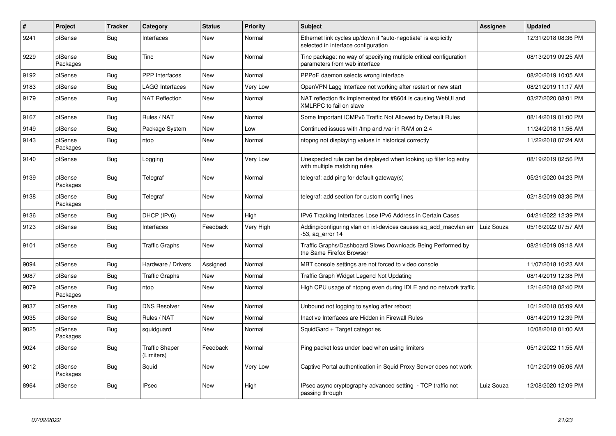| $\sharp$ | Project             | <b>Tracker</b> | Category                            | <b>Status</b> | Priority  | <b>Subject</b>                                                                                        | Assignee   | <b>Updated</b>      |
|----------|---------------------|----------------|-------------------------------------|---------------|-----------|-------------------------------------------------------------------------------------------------------|------------|---------------------|
| 9241     | pfSense             | <b>Bug</b>     | Interfaces                          | <b>New</b>    | Normal    | Ethernet link cycles up/down if "auto-negotiate" is explicitly<br>selected in interface configuration |            | 12/31/2018 08:36 PM |
| 9229     | pfSense<br>Packages | <b>Bug</b>     | Tinc                                | New           | Normal    | Tinc package: no way of specifying multiple critical configuration<br>parameters from web interface   |            | 08/13/2019 09:25 AM |
| 9192     | pfSense             | <b>Bug</b>     | <b>PPP</b> Interfaces               | <b>New</b>    | Normal    | PPPoE daemon selects wrong interface                                                                  |            | 08/20/2019 10:05 AM |
| 9183     | pfSense             | <b>Bug</b>     | LAGG Interfaces                     | New           | Very Low  | OpenVPN Lagg Interface not working after restart or new start                                         |            | 08/21/2019 11:17 AM |
| 9179     | pfSense             | <b>Bug</b>     | <b>NAT Reflection</b>               | New           | Normal    | NAT reflection fix implemented for #8604 is causing WebUI and<br>XMLRPC to fail on slave              |            | 03/27/2020 08:01 PM |
| 9167     | pfSense             | <b>Bug</b>     | Rules / NAT                         | New           | Normal    | Some Important ICMPv6 Traffic Not Allowed by Default Rules                                            |            | 08/14/2019 01:00 PM |
| 9149     | pfSense             | <b>Bug</b>     | Package System                      | New           | Low       | Continued issues with /tmp and /var in RAM on 2.4                                                     |            | 11/24/2018 11:56 AM |
| 9143     | pfSense<br>Packages | <b>Bug</b>     | ntop                                | New           | Normal    | ntopng not displaying values in historical correctly                                                  |            | 11/22/2018 07:24 AM |
| 9140     | pfSense             | <b>Bug</b>     | Logging                             | New           | Very Low  | Unexpected rule can be displayed when looking up filter log entry<br>with multiple matching rules     |            | 08/19/2019 02:56 PM |
| 9139     | pfSense<br>Packages | Bug            | Telegraf                            | New           | Normal    | telegraf: add ping for default gateway(s)                                                             |            | 05/21/2020 04:23 PM |
| 9138     | pfSense<br>Packages | Bug            | Telegraf                            | <b>New</b>    | Normal    | telegraf: add section for custom config lines                                                         |            | 02/18/2019 03:36 PM |
| 9136     | pfSense             | <b>Bug</b>     | DHCP (IPv6)                         | <b>New</b>    | High      | IPv6 Tracking Interfaces Lose IPv6 Address in Certain Cases                                           |            | 04/21/2022 12:39 PM |
| 9123     | pfSense             | <b>Bug</b>     | Interfaces                          | Feedback      | Very High | Adding/configuring vlan on ixl-devices causes ag add macvlan err<br>-53, ag error 14                  | Luiz Souza | 05/16/2022 07:57 AM |
| 9101     | pfSense             | <b>Bug</b>     | <b>Traffic Graphs</b>               | New           | Normal    | Traffic Graphs/Dashboard Slows Downloads Being Performed by<br>the Same Firefox Browser               |            | 08/21/2019 09:18 AM |
| 9094     | pfSense             | <b>Bug</b>     | Hardware / Drivers                  | Assigned      | Normal    | MBT console settings are not forced to video console                                                  |            | 11/07/2018 10:23 AM |
| 9087     | pfSense             | <b>Bug</b>     | <b>Traffic Graphs</b>               | <b>New</b>    | Normal    | Traffic Graph Widget Legend Not Updating                                                              |            | 08/14/2019 12:38 PM |
| 9079     | pfSense<br>Packages | <b>Bug</b>     | ntop                                | New           | Normal    | High CPU usage of ntopng even during IDLE and no network traffic                                      |            | 12/16/2018 02:40 PM |
| 9037     | pfSense             | <b>Bug</b>     | <b>DNS Resolver</b>                 | <b>New</b>    | Normal    | Unbound not logging to syslog after reboot                                                            |            | 10/12/2018 05:09 AM |
| 9035     | pfSense             | <b>Bug</b>     | Rules / NAT                         | <b>New</b>    | Normal    | Inactive Interfaces are Hidden in Firewall Rules                                                      |            | 08/14/2019 12:39 PM |
| 9025     | pfSense<br>Packages | <b>Bug</b>     | squidguard                          | New           | Normal    | SquidGard + Target categories                                                                         |            | 10/08/2018 01:00 AM |
| 9024     | pfSense             | Bug            | <b>Traffic Shaper</b><br>(Limiters) | Feedback      | Normal    | Ping packet loss under load when using limiters                                                       |            | 05/12/2022 11:55 AM |
| 9012     | pfSense<br>Packages | <b>Bug</b>     | Squid                               | <b>New</b>    | Very Low  | Captive Portal authentication in Squid Proxy Server does not work                                     |            | 10/12/2019 05:06 AM |
| 8964     | pfSense             | <b>Bug</b>     | <b>IPsec</b>                        | <b>New</b>    | High      | IPsec async cryptography advanced setting - TCP traffic not<br>passing through                        | Luiz Souza | 12/08/2020 12:09 PM |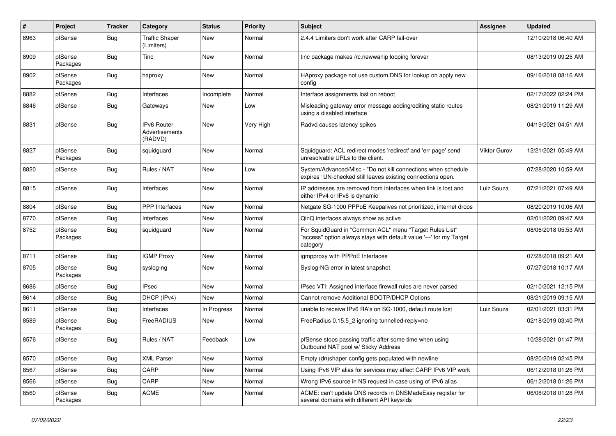| #    | Project             | <b>Tracker</b> | Category                                        | <b>Status</b> | <b>Priority</b> | <b>Subject</b>                                                                                                                             | <b>Assignee</b> | <b>Updated</b>      |
|------|---------------------|----------------|-------------------------------------------------|---------------|-----------------|--------------------------------------------------------------------------------------------------------------------------------------------|-----------------|---------------------|
| 8963 | pfSense             | Bug            | <b>Traffic Shaper</b><br>(Limiters)             | New           | Normal          | 2.4.4 Limiters don't work after CARP fail-over                                                                                             |                 | 12/10/2018 06:40 AM |
| 8909 | pfSense<br>Packages | Bug            | Tinc                                            | New           | Normal          | tinc package makes /rc.newwanip looping forever                                                                                            |                 | 08/13/2019 09:25 AM |
| 8902 | pfSense<br>Packages | Bug            | haproxy                                         | <b>New</b>    | Normal          | HAproxy package not use custom DNS for lookup on apply new<br>config                                                                       |                 | 09/16/2018 08:16 AM |
| 8882 | pfSense             | <b>Bug</b>     | Interfaces                                      | Incomplete    | Normal          | Interface assignments lost on reboot                                                                                                       |                 | 02/17/2022 02:24 PM |
| 8846 | pfSense             | <b>Bug</b>     | Gateways                                        | New           | Low             | Misleading gateway error message adding/editing static routes<br>using a disabled interface                                                |                 | 08/21/2019 11:29 AM |
| 8831 | pfSense             | Bug            | <b>IPv6 Router</b><br>Advertisements<br>(RADVD) | <b>New</b>    | Very High       | Radvd causes latency spikes                                                                                                                |                 | 04/19/2021 04:51 AM |
| 8827 | pfSense<br>Packages | <b>Bug</b>     | squidguard                                      | <b>New</b>    | Normal          | Squidguard: ACL redirect modes 'redirect' and 'err page' send<br>unresolvable URLs to the client.                                          | Viktor Gurov    | 12/21/2021 05:49 AM |
| 8820 | pfSense             | <b>Bug</b>     | Rules / NAT                                     | New           | Low             | System/Advanced/Misc - "Do not kill connections when schedule<br>expires" UN-checked still leaves existing connections open.               |                 | 07/28/2020 10:59 AM |
| 8815 | pfSense             | Bug            | Interfaces                                      | New           | Normal          | IP addresses are removed from interfaces when link is lost and<br>either IPv4 or IPv6 is dynamic                                           | Luiz Souza      | 07/21/2021 07:49 AM |
| 8804 | pfSense             | Bug            | PPP Interfaces                                  | <b>New</b>    | Normal          | Netgate SG-1000 PPPoE Keepalives not prioritized, internet drops                                                                           |                 | 08/20/2019 10:06 AM |
| 8770 | pfSense             | Bug            | Interfaces                                      | New           | Normal          | QinQ interfaces always show as active                                                                                                      |                 | 02/01/2020 09:47 AM |
| 8752 | pfSense<br>Packages | <b>Bug</b>     | squidguard                                      | New           | Normal          | For SquidGuard in "Common ACL" menu "Target Rules List"<br>"access" option always stays with default value '---' for my Target<br>category |                 | 08/06/2018 05:53 AM |
| 8711 | pfSense             | Bug            | <b>IGMP Proxy</b>                               | <b>New</b>    | Normal          | igmpproxy with PPPoE Interfaces                                                                                                            |                 | 07/28/2018 09:21 AM |
| 8705 | pfSense<br>Packages | Bug            | syslog-ng                                       | New           | Normal          | Syslog-NG error in latest snapshot                                                                                                         |                 | 07/27/2018 10:17 AM |
| 8686 | pfSense             | Bug            | <b>IPsec</b>                                    | <b>New</b>    | Normal          | IPsec VTI: Assigned interface firewall rules are never parsed                                                                              |                 | 02/10/2021 12:15 PM |
| 8614 | pfSense             | <b>Bug</b>     | DHCP (IPv4)                                     | New           | Normal          | Cannot remove Additional BOOTP/DHCP Options                                                                                                |                 | 08/21/2019 09:15 AM |
| 8611 | pfSense             | Bug            | Interfaces                                      | In Progress   | Normal          | unable to receive IPv6 RA's on SG-1000, default route lost                                                                                 | Luiz Souza      | 02/01/2021 03:31 PM |
| 8589 | pfSense<br>Packages | Bug            | <b>FreeRADIUS</b>                               | <b>New</b>    | Normal          | FreeRadius 0.15.5_2 ignoring tunnelled-reply=no                                                                                            |                 | 02/18/2019 03:40 PM |
| 8576 | pfSense             | <b>Bug</b>     | Rules / NAT                                     | Feedback      | Low             | pfSense stops passing traffic after some time when using<br>Outbound NAT pool w/ Sticky Address                                            |                 | 10/28/2021 01:47 PM |
| 8570 | pfSense             | <b>Bug</b>     | <b>XML Parser</b>                               | <b>New</b>    | Normal          | Empty (dn)shaper config gets populated with newline                                                                                        |                 | 08/20/2019 02:45 PM |
| 8567 | pfSense             | <b>Bug</b>     | CARP                                            | New           | Normal          | Using IPv6 VIP alias for services may affect CARP IPv6 VIP work                                                                            |                 | 06/12/2018 01:26 PM |
| 8566 | pfSense             | <b>Bug</b>     | CARP                                            | New           | Normal          | Wrong IPv6 source in NS request in case using of IPv6 alias                                                                                |                 | 06/12/2018 01:26 PM |
| 8560 | pfSense<br>Packages | Bug            | <b>ACME</b>                                     | New           | Normal          | ACME: can't update DNS records in DNSMadeEasy registar for<br>several domains with different API keys/ids                                  |                 | 06/08/2018 01:28 PM |